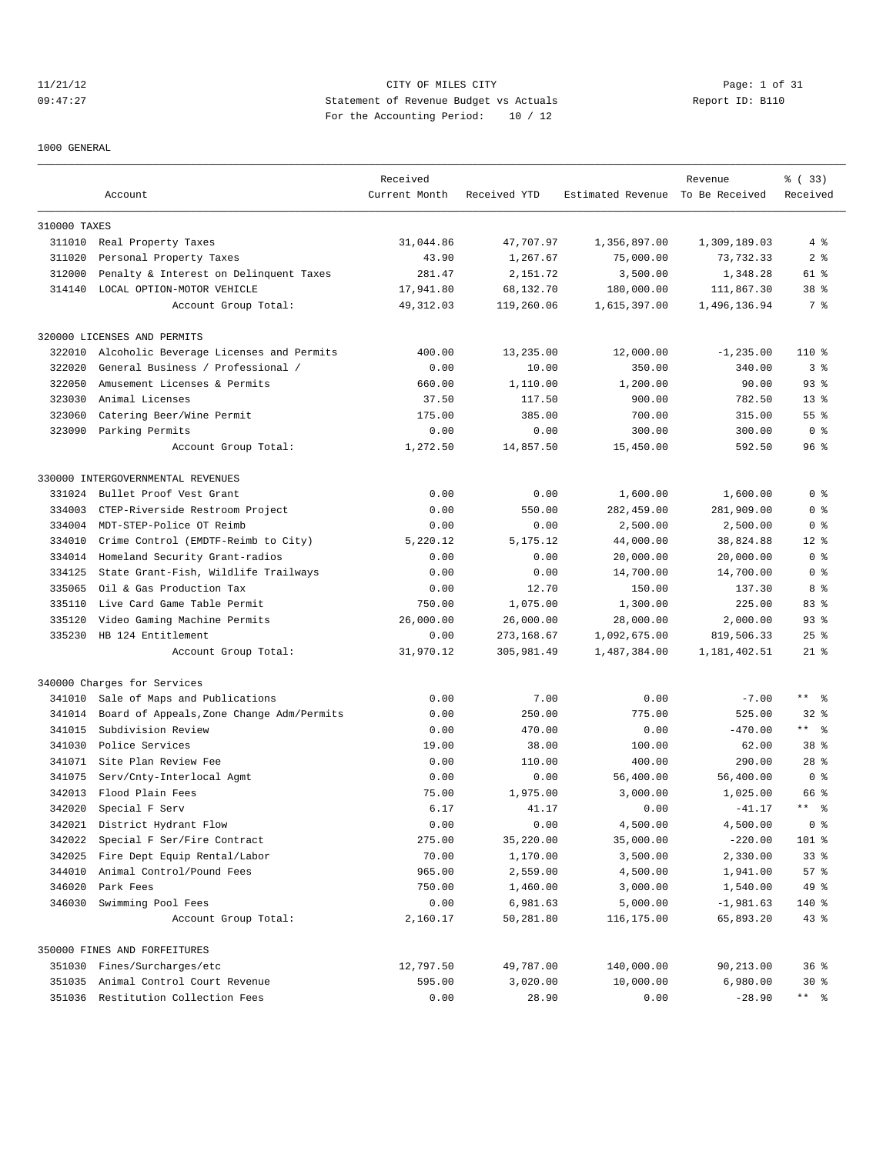# 11/21/12 CITY OF MILES CITY Page: 1 of 31 09:47:27 Statement of Revenue Budget vs Actuals Report ID: B110 For the Accounting Period: 10 / 12

### 1000 GENERAL

|              |                                           | Received      |              |                                  | Revenue      | % ( 33 )                     |
|--------------|-------------------------------------------|---------------|--------------|----------------------------------|--------------|------------------------------|
|              | Account                                   | Current Month | Received YTD | Estimated Revenue To Be Received |              | Received                     |
| 310000 TAXES |                                           |               |              |                                  |              |                              |
|              | 311010 Real Property Taxes                | 31,044.86     | 47,707.97    | 1,356,897.00                     | 1,309,189.03 | 4%                           |
| 311020       | Personal Property Taxes                   | 43.90         | 1,267.67     | 75,000.00                        | 73, 732.33   | 2 <sub>8</sub>               |
| 312000       | Penalty & Interest on Delinquent Taxes    | 281.47        | 2,151.72     | 3,500.00                         | 1,348.28     | 61 %                         |
|              | 314140 LOCAL OPTION-MOTOR VEHICLE         | 17,941.80     | 68,132.70    | 180,000.00                       | 111,867.30   | 38 %                         |
|              | Account Group Total:                      | 49, 312.03    | 119,260.06   | 1,615,397.00                     | 1,496,136.94 | 7 %                          |
|              | 320000 LICENSES AND PERMITS               |               |              |                                  |              |                              |
| 322010       | Alcoholic Beverage Licenses and Permits   | 400.00        | 13,235.00    | 12,000.00                        | $-1, 235.00$ | 110 %                        |
| 322020       | General Business / Professional /         | 0.00          | 10.00        | 350.00                           | 340.00       | 3%                           |
| 322050       | Amusement Licenses & Permits              | 660.00        | 1,110.00     | 1,200.00                         | 90.00        | $93$ $%$                     |
| 323030       | Animal Licenses                           | 37.50         | 117.50       | 900.00                           | 782.50       | $13*$                        |
| 323060       | Catering Beer/Wine Permit                 | 175.00        | 385.00       | 700.00                           | 315.00       | $55$ $%$                     |
|              | 323090 Parking Permits                    | 0.00          | 0.00         | 300.00                           | 300.00       | 0 <sup>8</sup>               |
|              | Account Group Total:                      | 1,272.50      | 14,857.50    | 15,450.00                        | 592.50       | 96%                          |
|              | 330000 INTERGOVERNMENTAL REVENUES         |               |              |                                  |              |                              |
| 331024       | Bullet Proof Vest Grant                   | 0.00          | 0.00         | 1,600.00                         | 1,600.00     | 0 <sup>8</sup>               |
| 334003       | CTEP-Riverside Restroom Project           | 0.00          | 550.00       | 282,459.00                       | 281,909.00   | 0 <sup>8</sup>               |
| 334004       | MDT-STEP-Police OT Reimb                  | 0.00          | 0.00         | 2,500.00                         | 2,500.00     | 0 <sup>8</sup>               |
| 334010       | Crime Control (EMDTF-Reimb to City)       | 5,220.12      | 5,175.12     | 44,000.00                        | 38,824.88    | $12*$                        |
| 334014       | Homeland Security Grant-radios            | 0.00          | 0.00         | 20,000.00                        | 20,000.00    | 0 <sup>8</sup>               |
| 334125       | State Grant-Fish, Wildlife Trailways      | 0.00          | 0.00         | 14,700.00                        | 14,700.00    | 0 <sup>8</sup>               |
| 335065       | Oil & Gas Production Tax                  | 0.00          | 12.70        | 150.00                           | 137.30       | 8 %                          |
| 335110       | Live Card Game Table Permit               | 750.00        | 1,075.00     | 1,300.00                         | 225.00       | 83 %                         |
| 335120       | Video Gaming Machine Permits              | 26,000.00     | 26,000.00    | 28,000.00                        | 2,000.00     | $93$ $%$                     |
| 335230       | HB 124 Entitlement                        | 0.00          | 273,168.67   | 1,092,675.00                     | 819,506.33   | $25$ %                       |
|              | Account Group Total:                      | 31,970.12     | 305,981.49   | 1,487,384.00                     | 1,181,402.51 | $21$ %                       |
|              | 340000 Charges for Services               |               |              |                                  |              |                              |
| 341010       | Sale of Maps and Publications             | 0.00          | 7.00         | 0.00                             | $-7.00$      | $***$ $ -$                   |
| 341014       | Board of Appeals, Zone Change Adm/Permits | 0.00          | 250.00       | 775.00                           | 525.00       | $32$ $%$                     |
| 341015       | Subdivision Review                        | 0.00          | 470.00       | 0.00                             | $-470.00$    | $***$ 8                      |
| 341030       | Police Services                           | 19.00         | 38.00        | 100.00                           | 62.00        | 38 %                         |
|              | 341071 Site Plan Review Fee               | 0.00          | 110.00       | 400.00                           | 290.00       | $28$ %                       |
| 341075       | Serv/Cnty-Interlocal Agmt                 | 0.00          | 0.00         | 56,400.00                        | 56,400.00    | 0 <sup>8</sup>               |
| 342013       | Flood Plain Fees                          | 75.00         | 1,975.00     | 3,000.00                         | 1,025.00     | 66 %                         |
| 342020       | Special F Serv                            | 6.17          | 41.17        | 0.00                             | $-41.17$     | $\star$ $\star$<br>$\approx$ |
|              | 342021 District Hydrant Flow              | 0.00          | 0.00         | 4,500.00                         | 4,500.00     | 0 <sup>8</sup>               |
| 342022       | Special F Ser/Fire Contract               | 275.00        | 35,220.00    | 35,000.00                        | $-220.00$    | 101 %                        |
| 342025       | Fire Dept Equip Rental/Labor              | 70.00         | 1,170.00     | 3,500.00                         | 2,330.00     | $33$ $%$                     |
| 344010       | Animal Control/Pound Fees                 | 965.00        | 2,559.00     | 4,500.00                         | 1,941.00     | 57%                          |
| 346020       | Park Fees                                 | 750.00        | 1,460.00     | 3,000.00                         | 1,540.00     | 49 %                         |
| 346030       | Swimming Pool Fees                        | 0.00          | 6,981.63     | 5,000.00                         | $-1,981.63$  | 140 %                        |
|              | Account Group Total:                      | 2,160.17      | 50,281.80    | 116,175.00                       | 65,893.20    | 43 %                         |
|              | 350000 FINES AND FORFEITURES              |               |              |                                  |              |                              |
|              | 351030 Fines/Surcharges/etc               | 12,797.50     | 49,787.00    | 140,000.00                       | 90,213.00    | 36%                          |
|              | 351035 Animal Control Court Revenue       | 595.00        | 3,020.00     | 10,000.00                        | 6,980.00     | $30*$                        |
|              | 351036 Restitution Collection Fees        | 0.00          | 28.90        | 0.00                             | $-28.90$     | ** %                         |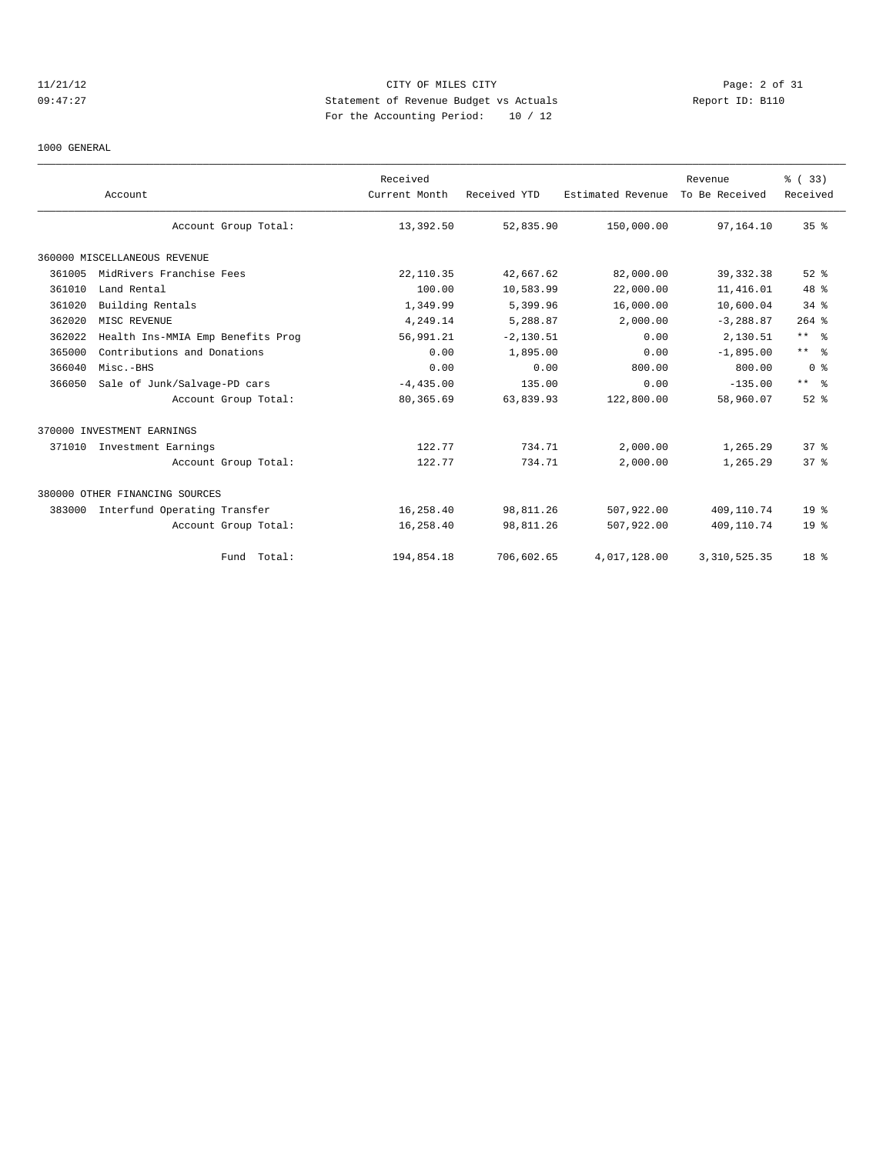# 11/21/12 CITY OF MILES CITY Page: 2 of 31 09:47:27 Statement of Revenue Budget vs Actuals Report ID: B110 For the Accounting Period: 10 / 12

### 1000 GENERAL

|        |                                   | Received      |              |                   | Revenue        | % (33)          |
|--------|-----------------------------------|---------------|--------------|-------------------|----------------|-----------------|
|        | Account                           | Current Month | Received YTD | Estimated Revenue | To Be Received | Received        |
|        | Account Group Total:              | 13,392.50     | 52,835.90    | 150,000.00        | 97,164.10      | 35 <sup>8</sup> |
|        | 360000 MISCELLANEOUS REVENUE      |               |              |                   |                |                 |
| 361005 | MidRivers Franchise Fees          | 22, 110.35    | 42,667.62    | 82,000.00         | 39, 332.38     | $52$ $%$        |
| 361010 | Land Rental                       | 100.00        | 10,583.99    | 22,000.00         | 11,416.01      | $48*$           |
| 361020 | Building Rentals                  | 1,349.99      | 5,399.96     | 16,000.00         | 10,600.04      | $34$ $%$        |
| 362020 | MISC REVENUE                      | 4,249.14      | 5,288.87     | 2,000.00          | $-3, 288.87$   | $264$ %         |
| 362022 | Health Ins-MMIA Emp Benefits Prog | 56,991.21     | $-2, 130.51$ | 0.00              | 2,130.51       | $***$ $ -$      |
| 365000 | Contributions and Donations       | 0.00          | 1,895.00     | 0.00              | $-1.895.00$    | $***$ $ -$      |
| 366040 | Misc.-BHS                         | 0.00          | 0.00         | 800.00            | 800.00         | 0 <sup>8</sup>  |
| 366050 | Sale of Junk/Salvage-PD cars      | $-4, 435.00$  | 135.00       | 0.00              | $-135.00$      | $***$ $ -$      |
|        | Account Group Total:              | 80,365.69     | 63,839.93    | 122,800.00        | 58,960.07      | $52$ $%$        |
|        | 370000 INVESTMENT EARNINGS        |               |              |                   |                |                 |
| 371010 | Investment Earnings               | 122.77        | 734.71       | 2,000.00          | 1,265.29       | 37 <sup>8</sup> |
|        | Account Group Total:              | 122.77        | 734.71       | 2,000.00          | 1,265.29       | 37 <sup>8</sup> |
|        | 380000 OTHER FINANCING SOURCES    |               |              |                   |                |                 |
| 383000 | Interfund Operating Transfer      | 16,258.40     | 98,811.26    | 507,922.00        | 409,110.74     | 19 <sup>°</sup> |
|        | Account Group Total:              | 16,258.40     | 98,811.26    | 507,922.00        | 409,110.74     | 19 <sup>°</sup> |
|        | Fund Total:                       | 194,854.18    | 706,602.65   | 4,017,128.00      | 3, 310, 525.35 | 18 %            |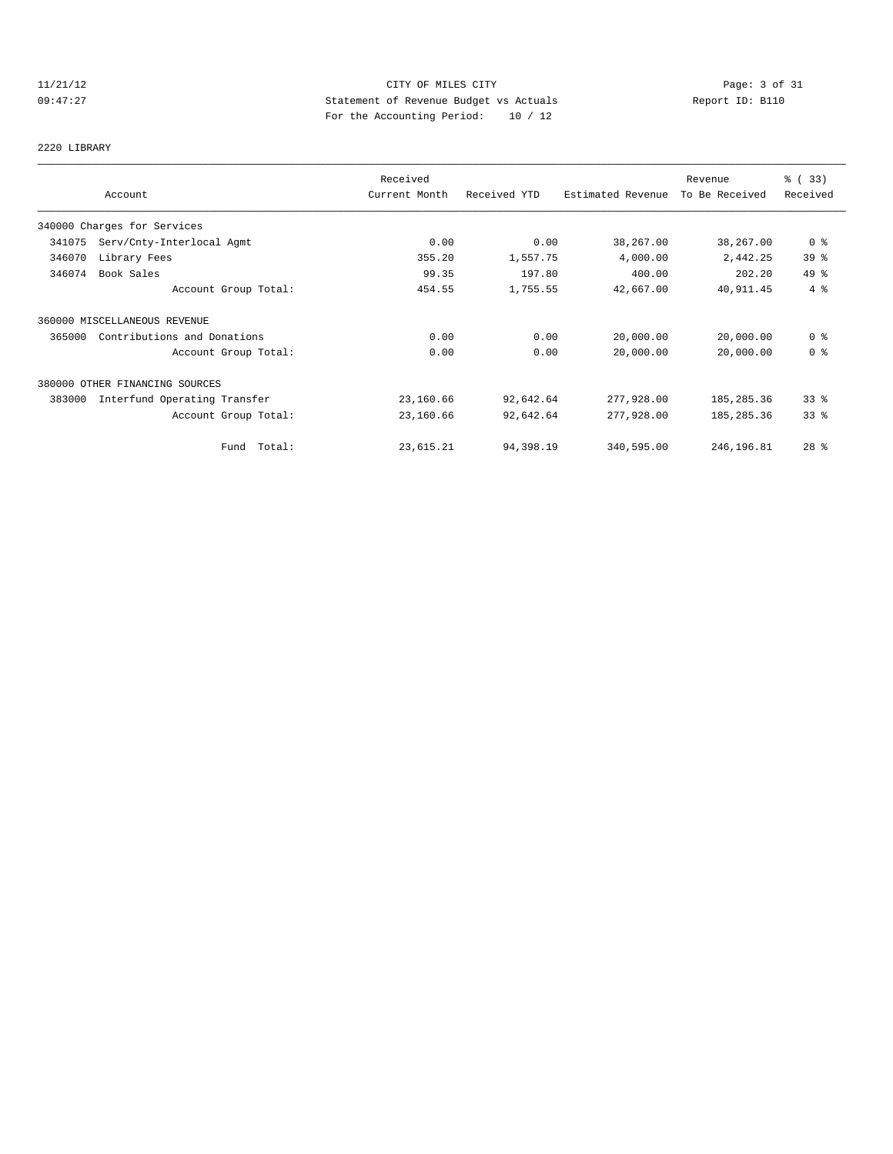# 11/21/12 CITY OF MILES CITY Page: 3 of 31<br>09:47:27 Page: 3 of 31<br>21.12 Statement of Revenue Budget vs Actuals Report ID: B110 09:47:27 Statement of Revenue Budget vs Actuals Report ID: B110 For the Accounting Period: 10 / 12

# 2220 LIBRARY

|        |                                | Received      |              |                   | Revenue        | % (33)          |
|--------|--------------------------------|---------------|--------------|-------------------|----------------|-----------------|
|        | Account                        | Current Month | Received YTD | Estimated Revenue | To Be Received | Received        |
|        | 340000 Charges for Services    |               |              |                   |                |                 |
| 341075 | Serv/Cnty-Interlocal Agmt      | 0.00          | 0.00         | 38,267.00         | 38,267.00      | 0 <sup>8</sup>  |
| 346070 | Library Fees                   | 355.20        | 1,557.75     | 4,000.00          | 2,442.25       | 39 <sup>8</sup> |
| 346074 | Book Sales                     | 99.35         | 197.80       | 400.00            | 202.20         | 49 %            |
|        | Account Group Total:           | 454.55        | 1,755.55     | 42,667.00         | 40,911.45      | 4%              |
|        | 360000 MISCELLANEOUS REVENUE   |               |              |                   |                |                 |
| 365000 | Contributions and Donations    | 0.00          | 0.00         | 20,000.00         | 20,000.00      | 0 <sup>8</sup>  |
|        | Account Group Total:           | 0.00          | 0.00         | 20,000.00         | 20,000.00      | 0 <sup>8</sup>  |
|        | 380000 OTHER FINANCING SOURCES |               |              |                   |                |                 |
| 383000 | Interfund Operating Transfer   | 23,160.66     | 92,642.64    | 277,928.00        | 185,285.36     | 33 <sup>8</sup> |
|        | Account Group Total:           | 23,160.66     | 92,642.64    | 277,928.00        | 185, 285.36    | 33 <sup>8</sup> |
|        | Fund Total:                    | 23,615.21     | 94,398.19    | 340,595.00        | 246,196.81     | $28$ %          |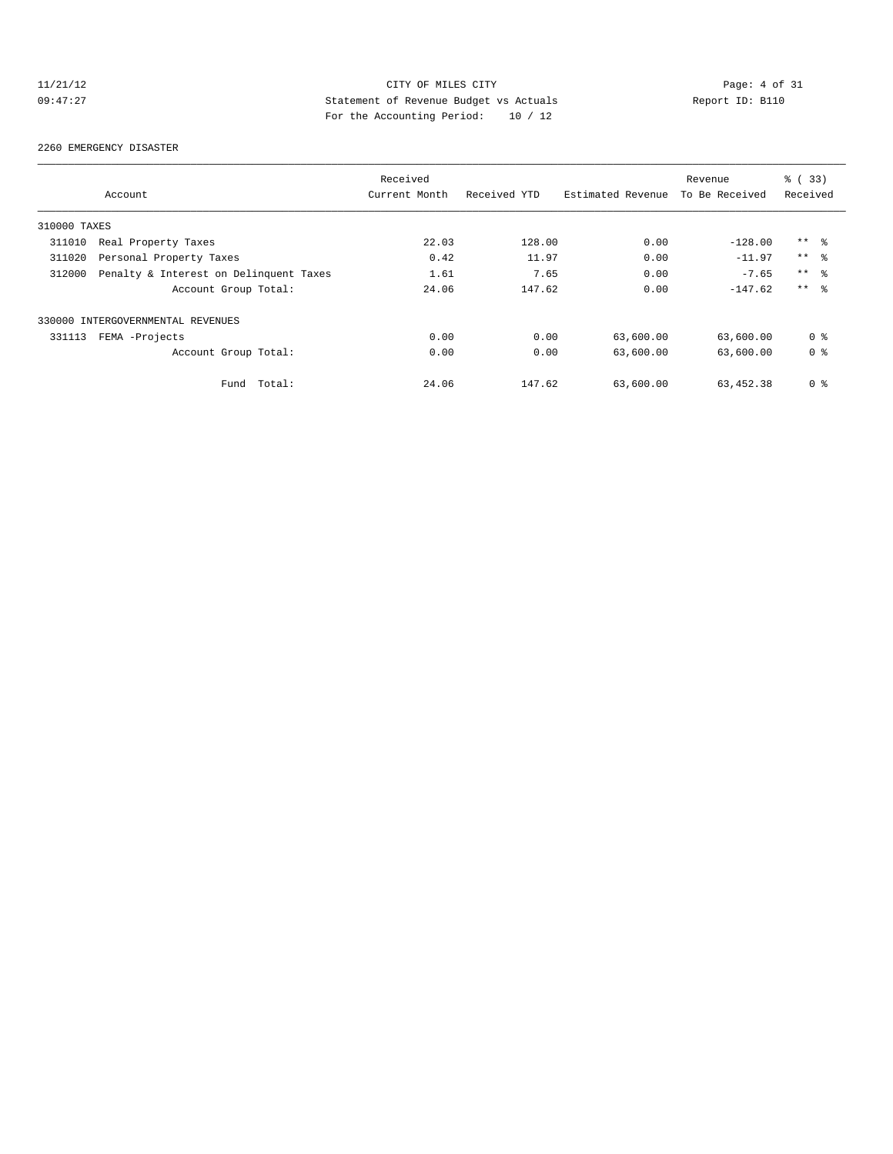# 11/21/12 CITY OF MILES CITY Page: 4 of 31<br>
99:47:27 Page: 4 of 31<br>
Report ID: B110 09:47:27 Statement of Revenue Budget vs Actuals Report ID: B110 For the Accounting Period: 10 / 12

### 2260 EMERGENCY DISASTER

|              |                                        | Received      |              |                   | Revenue        | % (33)          |
|--------------|----------------------------------------|---------------|--------------|-------------------|----------------|-----------------|
|              | Account                                | Current Month | Received YTD | Estimated Revenue | To Be Received | Received        |
| 310000 TAXES |                                        |               |              |                   |                |                 |
| 311010       | Real Property Taxes                    | 22.03         | 128.00       | 0.00              | $-128.00$      | $***$ %         |
| 311020       | Personal Property Taxes                | 0.42          | 11.97        | 0.00              | $-11.97$       | $***$ %         |
| 312000       | Penalty & Interest on Delinquent Taxes | 1.61          | 7.65         | 0.00              | $-7.65$        | $***$ $\approx$ |
|              | Account Group Total:                   | 24.06         | 147.62       | 0.00              | $-147.62$      | $***$ $\approx$ |
|              | 330000 INTERGOVERNMENTAL REVENUES      |               |              |                   |                |                 |
| 331113       | FEMA -Projects                         | 0.00          | 0.00         | 63,600.00         | 63,600.00      | 0 <sup>8</sup>  |
|              | Account Group Total:                   | 0.00          | 0.00         | 63,600.00         | 63,600.00      | 0 <sup>8</sup>  |
|              | Total:<br>Fund                         | 24.06         | 147.62       | 63,600.00         | 63,452.38      | 0 <sup>8</sup>  |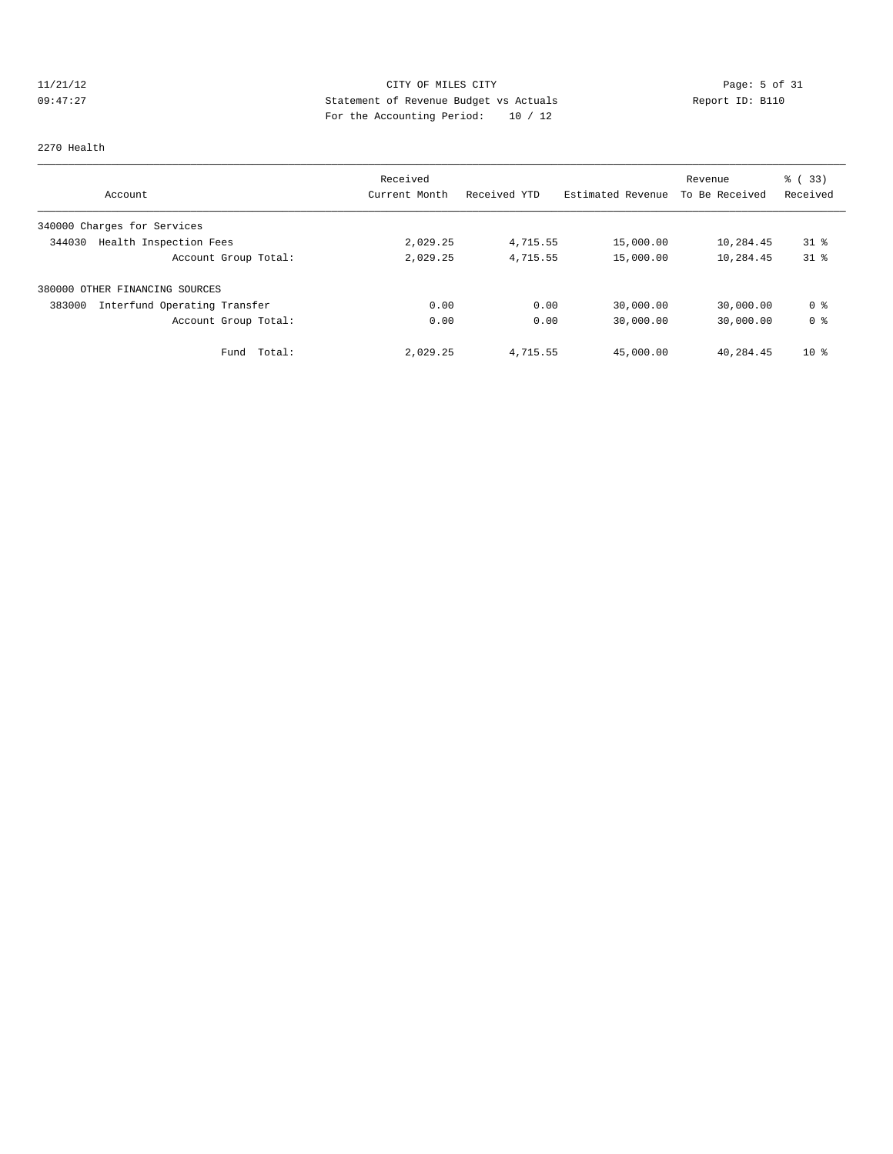# 11/21/12 CITY OF MILES CITY Page: 5 of 31<br>09:47:27 Statement of Revenue Budget vs Actuals Report ID: B110<br>20:47:27 Statement of Revenue Budget vs Actuals 09:47:27 Statement of Revenue Budget vs Actuals Report ID: B110 For the Accounting Period: 10 / 12

### 2270 Health

| Account                                | Received<br>Current Month | Received YTD | Estimated Revenue | Revenue<br>To Be Received | 8 (33)<br>Received |
|----------------------------------------|---------------------------|--------------|-------------------|---------------------------|--------------------|
| 340000 Charges for Services            |                           |              |                   |                           |                    |
| Health Inspection Fees<br>344030       | 2,029.25                  | 4,715.55     | 15,000.00         | 10,284.45                 | $31*$              |
| Account Group Total:                   | 2,029.25                  | 4,715.55     | 15,000.00         | 10,284.45                 | $31*$              |
| 380000 OTHER FINANCING SOURCES         |                           |              |                   |                           |                    |
| Interfund Operating Transfer<br>383000 | 0.00                      | 0.00         | 30,000.00         | 30,000.00                 | 0 <sub>8</sub>     |
| Account Group Total:                   | 0.00                      | 0.00         | 30,000.00         | 30,000.00                 | 0 <sup>8</sup>     |
| Total:<br>Fund                         | 2,029.25                  | 4,715.55     | 45,000.00         | 40,284.45                 | $10*$              |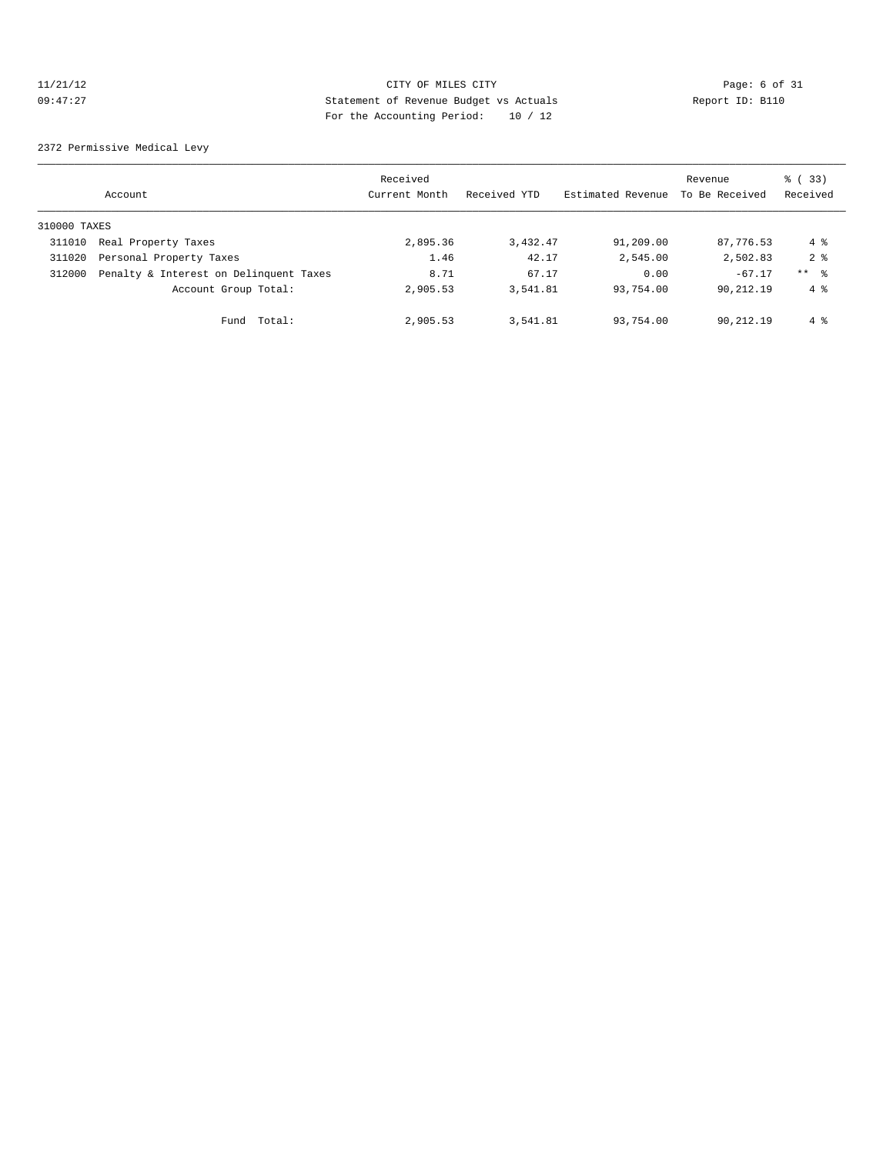# 11/21/12 CITY OF MILES CITY Page: 6 of 31<br>09:47:27 Statement of Revenue Budget vs Actuals Report ID: B110<br>2001 Pay the Accounting Device: 10 (10) 09:47:27 Statement of Revenue Budget vs Actuals Report ID: B110 For the Accounting Period: 10 / 12

2372 Permissive Medical Levy

|              | Account                                | Received<br>Current Month | Received YTD | Estimated Revenue | Revenue<br>To Be Received | % (33)<br>Received |
|--------------|----------------------------------------|---------------------------|--------------|-------------------|---------------------------|--------------------|
| 310000 TAXES |                                        |                           |              |                   |                           |                    |
| 311010       | Real Property Taxes                    | 2,895.36                  | 3,432.47     | 91,209.00         | 87,776.53                 | 4 %                |
| 311020       | Personal Property Taxes                | 1.46                      | 42.17        | 2,545.00          | 2,502.83                  | 2 <sub>8</sub>     |
| 312000       | Penalty & Interest on Delinquent Taxes | 8.71                      | 67.17        | 0.00              | $-67.17$                  | $***$ $\approx$    |
|              | Account Group Total:                   | 2,905.53                  | 3,541.81     | 93,754.00         | 90,212.19                 | $4 \text{ }$       |
|              | Total:<br>Fund                         | 2,905.53                  | 3,541.81     | 93,754.00         | 90,212.19                 | 4 %                |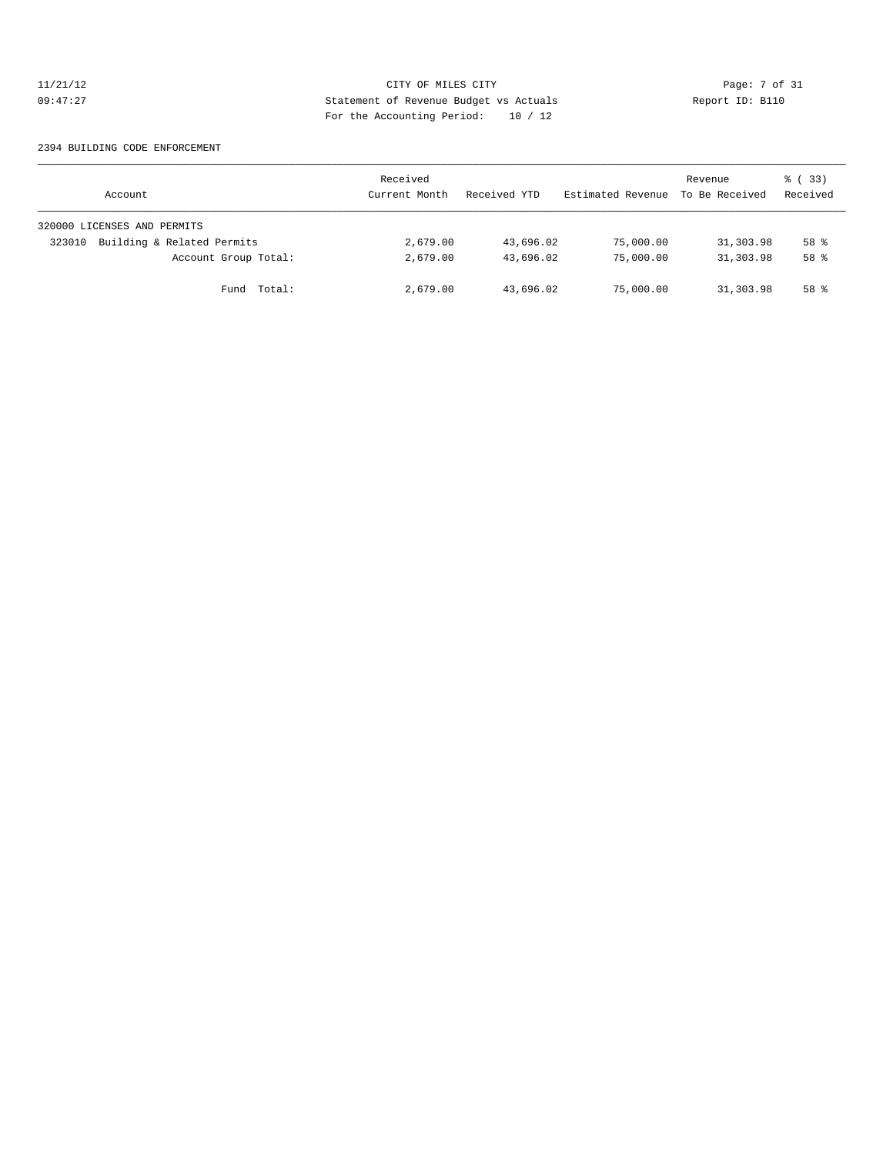# 11/21/12 CITY OF MILES CITY Page: 7 of 31<br>09:47:27 Statement of Revenue Budget vs Actuals Report ID: B110<br>20:47:27 Statement of Revenue Budget vs Actuals 09:47:27 Statement of Revenue Budget vs Actuals Report ID: B110 For the Accounting Period: 10 / 12

### 2394 BUILDING CODE ENFORCEMENT

| Account                              | Received<br>Current Month | Received YTD | Estimated Revenue | Revenue<br>To Be Received | 8 (33)<br>Received |
|--------------------------------------|---------------------------|--------------|-------------------|---------------------------|--------------------|
| 320000 LICENSES AND PERMITS          |                           |              |                   |                           |                    |
| Building & Related Permits<br>323010 | 2,679.00                  | 43,696.02    | 75,000.00         | 31,303.98                 | 58 %               |
| Account Group Total:                 | 2,679.00                  | 43,696.02    | 75,000.00         | 31,303.98                 | 58 %               |
| Fund Total:                          | 2,679.00                  | 43,696.02    | 75,000.00         | 31,303.98                 | 58 %               |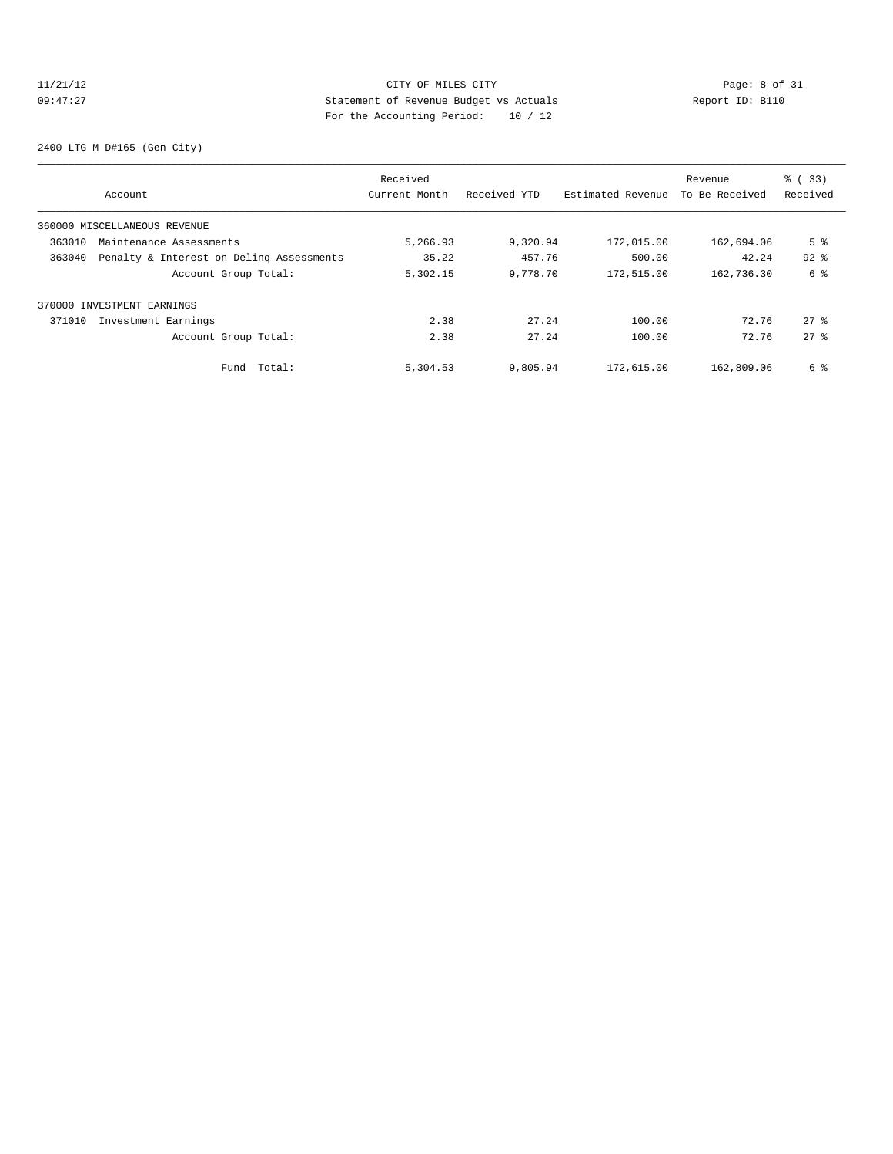# 11/21/12 CITY OF MILES CITY Page: 8 of 31<br>09:47:27 Page: 8 of 31<br>2011 Pay the local probably posied: 10 (10) Page: 10 (10) Report ID: B110 09:47:27 Statement of Revenue Budget vs Actuals Report ID: B110 For the Accounting Period: 10 / 12

2400 LTG M D#165-(Gen City)

|        |                                          | Received      |              |                   | Revenue        | % (33)         |
|--------|------------------------------------------|---------------|--------------|-------------------|----------------|----------------|
|        | Account                                  | Current Month | Received YTD | Estimated Revenue | To Be Received | Received       |
|        | 360000 MISCELLANEOUS REVENUE             |               |              |                   |                |                |
| 363010 | Maintenance Assessments                  | 5,266.93      | 9,320.94     | 172,015.00        | 162,694.06     | 5 <sup>°</sup> |
| 363040 | Penalty & Interest on Deling Assessments | 35.22         | 457.76       | 500.00            | 42.24          | $92$ $%$       |
|        | Account Group Total:                     | 5,302.15      | 9,778.70     | 172,515.00        | 162,736.30     | 6 %            |
|        | 370000 INVESTMENT EARNINGS               |               |              |                   |                |                |
| 371010 | Investment Earnings                      | 2.38          | 27.24        | 100.00            | 72.76          | $27$ $\approx$ |
|        | Account Group Total:                     | 2.38          | 27.24        | 100.00            | 72.76          | $27$ $%$       |
|        | Total:<br>Fund                           | 5,304.53      | 9,805.94     | 172,615.00        | 162,809.06     | 6 %            |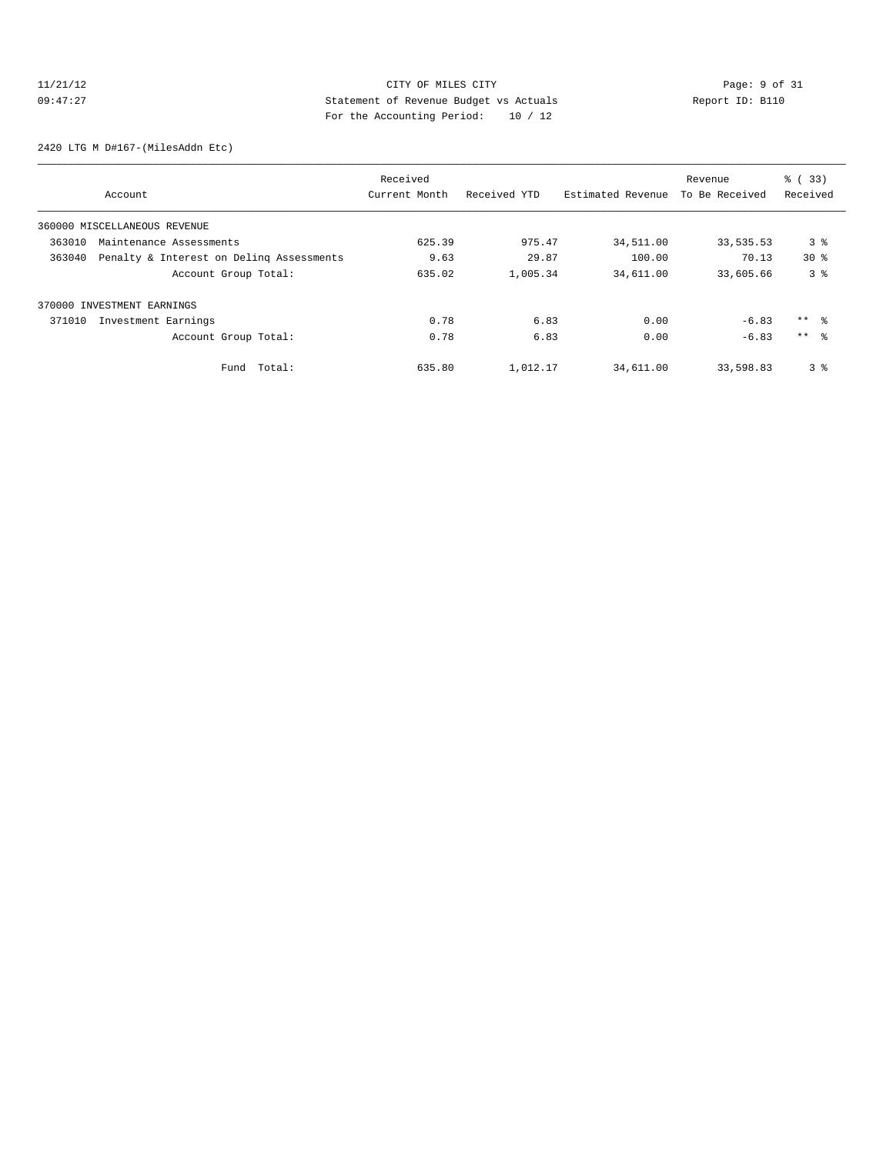# 11/21/12 CITY OF MILES CITY Page: 9 of 31<br>09:47:27 Statement of Revenue Budget vs Actuals Report ID: B110<br>2001 Pay the Accounting Device: 10 (10) 09:47:27 Statement of Revenue Budget vs Actuals Report ID: B110 For the Accounting Period: 10 / 12

2420 LTG M D#167-(MilesAddn Etc)

|        |                                          | Received      |              |                   | Revenue        | % (33)          |
|--------|------------------------------------------|---------------|--------------|-------------------|----------------|-----------------|
|        | Account                                  | Current Month | Received YTD | Estimated Revenue | To Be Received | Received        |
|        | 360000 MISCELLANEOUS REVENUE             |               |              |                   |                |                 |
| 363010 | Maintenance Assessments                  | 625.39        | 975.47       | 34,511.00         | 33,535.53      | 3 <sup>8</sup>  |
| 363040 | Penalty & Interest on Deling Assessments | 9.63          | 29.87        | 100.00            | 70.13          | $30*$           |
|        | Account Group Total:                     | 635.02        | 1,005.34     | 34,611.00         | 33,605.66      | 3 <sup>8</sup>  |
|        | 370000 INVESTMENT EARNINGS               |               |              |                   |                |                 |
| 371010 | Investment Earnings                      | 0.78          | 6.83         | 0.00              | $-6.83$        | $***$ $\approx$ |
|        | Account Group Total:                     | 0.78          | 6.83         | 0.00              | $-6.83$        | $***$ $\approx$ |
|        | Total:<br>Fund                           | 635.80        | 1,012.17     | 34,611.00         | 33,598.83      | 3 <sup>8</sup>  |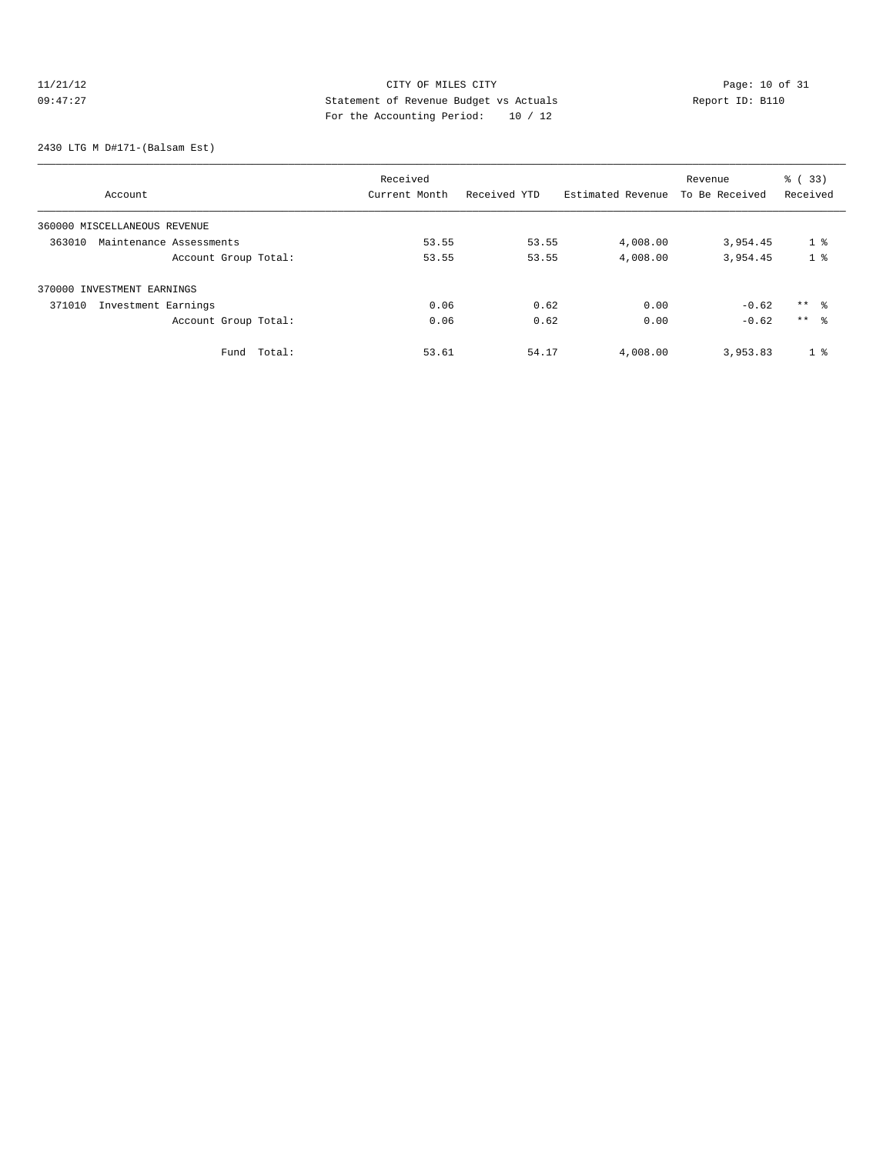# 11/21/12 Page: 10 of 31 09:47:27 Statement of Revenue Budget vs Actuals<br>
Report ID: B110 For the Accounting Period: 10 / 12

2430 LTG M D#171-(Balsam Est)

|                                   | Received      |              |                   | Revenue        | % (33)         |
|-----------------------------------|---------------|--------------|-------------------|----------------|----------------|
| Account                           | Current Month | Received YTD | Estimated Revenue | To Be Received | Received       |
| 360000 MISCELLANEOUS REVENUE      |               |              |                   |                |                |
| 363010<br>Maintenance Assessments | 53.55         | 53.55        | 4,008.00          | 3,954.45       | 1 <sup>8</sup> |
| Account Group Total:              | 53.55         | 53.55        | 4,008.00          | 3,954.45       | 1 <sup>8</sup> |
| 370000 INVESTMENT EARNINGS        |               |              |                   |                |                |
| Investment Earnings<br>371010     | 0.06          | 0.62         | 0.00              | $-0.62$        | $***$ 8        |
| Account Group Total:              | 0.06          | 0.62         | 0.00              | $-0.62$        | $***$ 8        |
| Fund Total:                       | 53.61         | 54.17        | 4,008.00          | 3,953.83       | 1 <sup>8</sup> |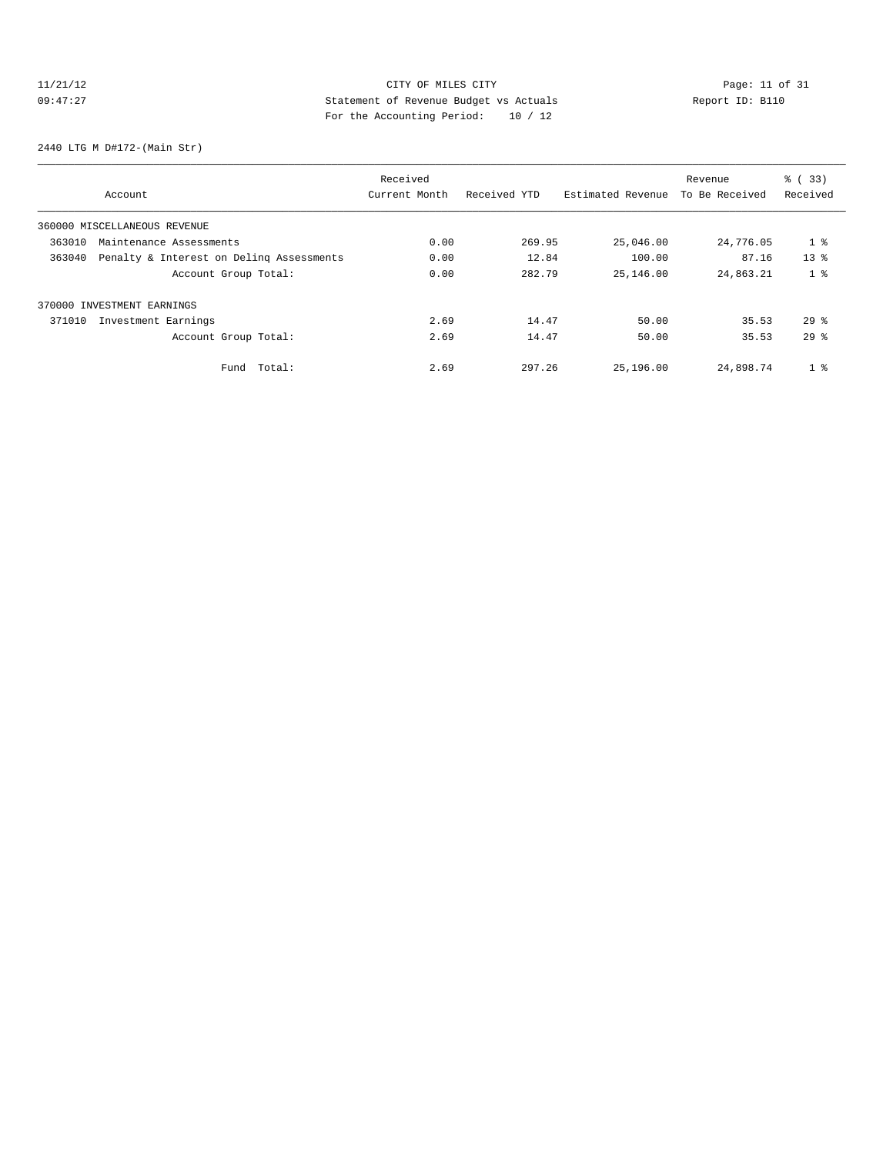# 11/21/12 Page: 11 of 31 09:47:27 Statement of Revenue Budget vs Actuals Report ID: B110 For the Accounting Period: 10 / 12

2440 LTG M D#172-(Main Str)

|        |                                          | Received      |              |                   | Revenue        | % (33)         |
|--------|------------------------------------------|---------------|--------------|-------------------|----------------|----------------|
|        | Account                                  | Current Month | Received YTD | Estimated Revenue | To Be Received | Received       |
|        | 360000 MISCELLANEOUS REVENUE             |               |              |                   |                |                |
| 363010 | Maintenance Assessments                  | 0.00          | 269.95       | 25,046.00         | 24,776.05      | 1 <sup>8</sup> |
| 363040 | Penalty & Interest on Deling Assessments | 0.00          | 12.84        | 100.00            | 87.16          | $13*$          |
|        | Account Group Total:                     | 0.00          | 282.79       | 25,146.00         | 24,863.21      | 1 <sup>8</sup> |
|        | 370000 INVESTMENT EARNINGS               |               |              |                   |                |                |
| 371010 | Investment Earnings                      | 2.69          | 14.47        | 50.00             | 35.53          | $29*$          |
|        | Account Group Total:                     | 2.69          | 14.47        | 50.00             | 35.53          | $29*$          |
|        | Total:<br>Fund                           | 2.69          | 297.26       | 25,196.00         | 24,898.74      | 1 <sup>8</sup> |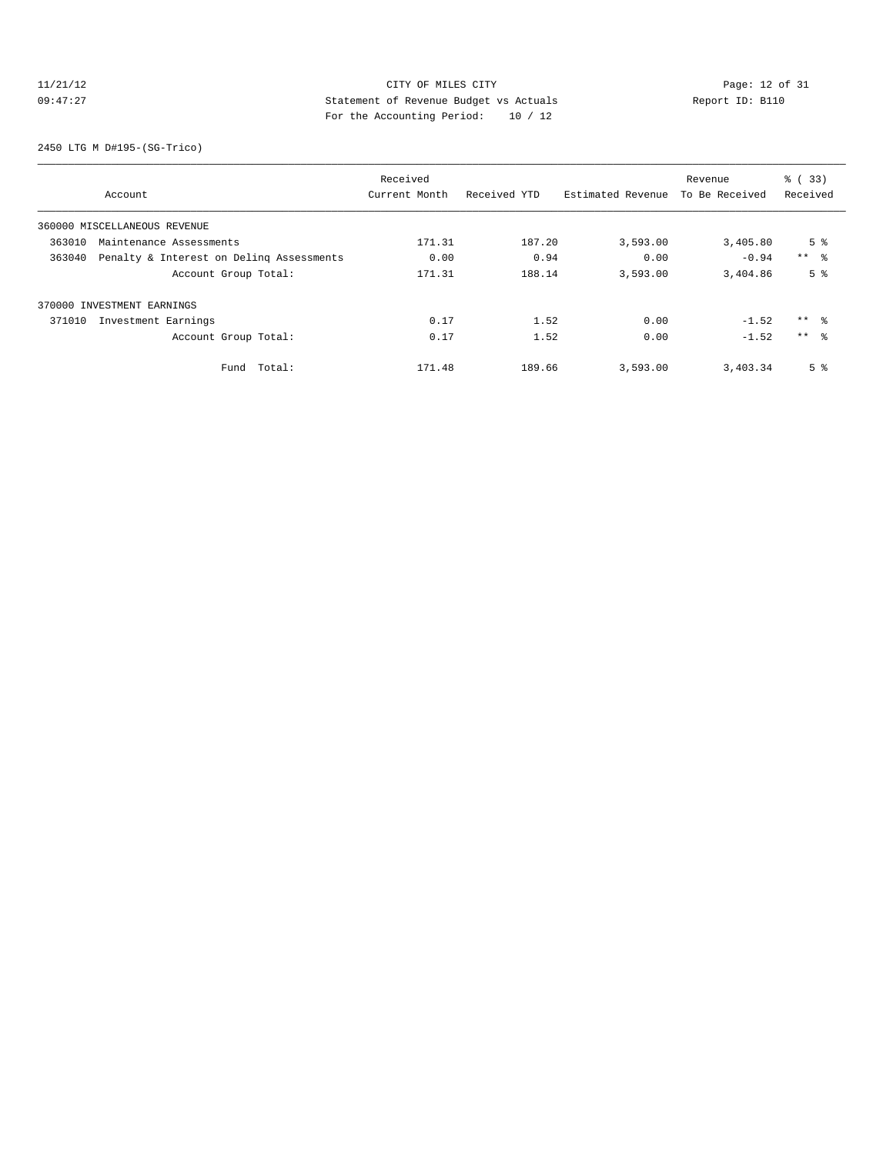# 11/21/12 CITY OF MILES CITY<br>
09:47:27 Page: 12 of 31<br>
Computed by Statement of Revenue Budget vs Actuals<br>
Partha Accounting Davidd: 10 (12) 09:47:27 Statement of Revenue Budget vs Actuals Report ID: B110 For the Accounting Period: 10 / 12

2450 LTG M D#195-(SG-Trico)

|        |                                          | Received      |              |                   | Revenue        | % (33)         |
|--------|------------------------------------------|---------------|--------------|-------------------|----------------|----------------|
|        | Account                                  | Current Month | Received YTD | Estimated Revenue | To Be Received | Received       |
|        | 360000 MISCELLANEOUS REVENUE             |               |              |                   |                |                |
| 363010 | Maintenance Assessments                  | 171.31        | 187.20       | 3,593.00          | 3,405.80       | 5 <sup>8</sup> |
| 363040 | Penalty & Interest on Deling Assessments | 0.00          | 0.94         | 0.00              | $-0.94$        | $***$ 8        |
|        | Account Group Total:                     | 171.31        | 188.14       | 3,593.00          | 3,404.86       | 5 <sup>8</sup> |
|        | 370000 INVESTMENT EARNINGS               |               |              |                   |                |                |
| 371010 | Investment Earnings                      | 0.17          | 1.52         | 0.00              | $-1.52$        | ** 왕           |
|        | Account Group Total:                     | 0.17          | 1.52         | 0.00              | $-1.52$        | $***$ %        |
|        | Total:<br>Fund                           | 171.48        | 189.66       | 3,593.00          | 3,403.34       | 5 <sup>8</sup> |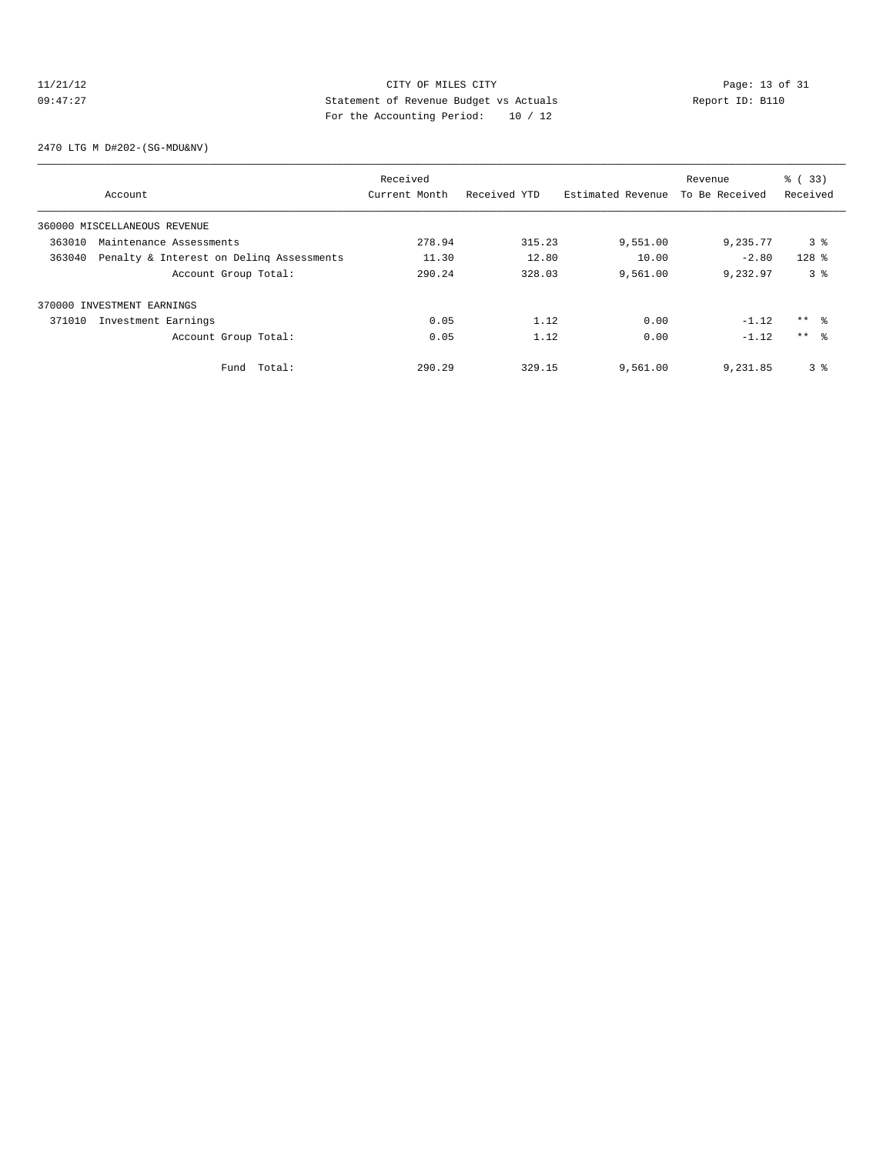# 11/21/12 CITY OF MILES CITY<br>
09:47:27 Page: 13 of 31<br>
Computed by Statement of Revenue Budget vs Actuals<br>
Pop the Accounting Popies (19, 19, 19, 19) 09:47:27 Statement of Revenue Budget vs Actuals Report ID: B110 For the Accounting Period: 10 / 12

2470 LTG M D#202-(SG-MDU&NV)

|        |                                          | Received      |              |                   | Revenue        | % (33)          |
|--------|------------------------------------------|---------------|--------------|-------------------|----------------|-----------------|
|        | Account                                  | Current Month | Received YTD | Estimated Revenue | To Be Received | Received        |
|        | 360000 MISCELLANEOUS REVENUE             |               |              |                   |                |                 |
| 363010 | Maintenance Assessments                  | 278.94        | 315.23       | 9,551.00          | 9,235.77       | 3 <sup>8</sup>  |
| 363040 | Penalty & Interest on Deling Assessments | 11.30         | 12.80        | 10.00             | $-2.80$        | $128$ %         |
|        | Account Group Total:                     | 290.24        | 328.03       | 9,561.00          | 9.232.97       | 38              |
|        | 370000 INVESTMENT EARNINGS               |               |              |                   |                |                 |
| 371010 | Investment Earnings                      | 0.05          | 1.12         | 0.00              | $-1.12$        | $***$ 8         |
|        | Account Group Total:                     | 0.05          | 1.12         | 0.00              | $-1.12$        | $***$ $\approx$ |
|        | Total:<br>Fund                           | 290.29        | 329.15       | 9,561.00          | 9,231.85       | 3 <sup>8</sup>  |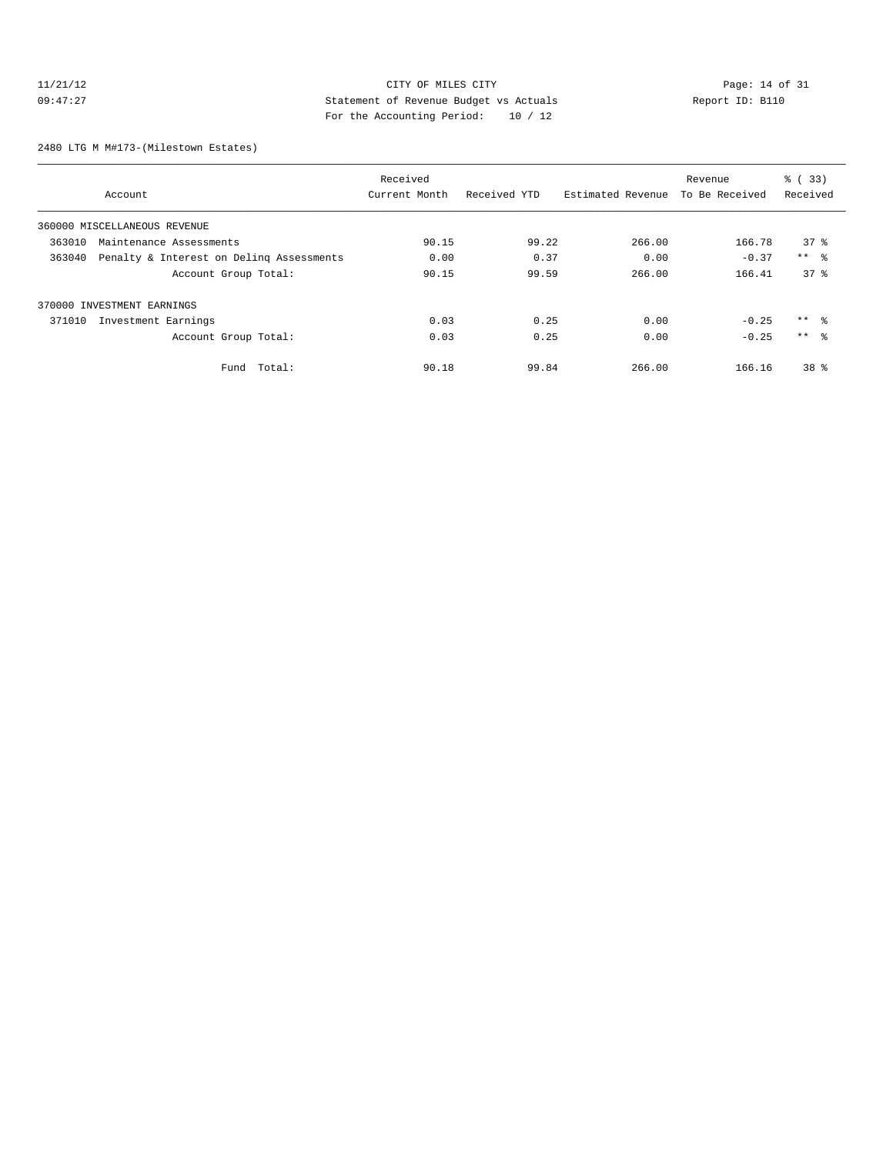# 11/21/12 CITY OF MILES CITY<br>
09:47:27 Page: 14 of 31<br>
20:47:27 Page: 14 of 31<br>
20:47:27 Page: 14 of 31<br>
20:47:27 09:47:27 Statement of Revenue Budget vs Actuals Report ID: B110 For the Accounting Period: 10 / 12

2480 LTG M M#173-(Milestown Estates)

|        |                                                                                                                                                                                                                                                                                                                                                                                                           | Received       |          |        | Revenue | % (33)          |
|--------|-----------------------------------------------------------------------------------------------------------------------------------------------------------------------------------------------------------------------------------------------------------------------------------------------------------------------------------------------------------------------------------------------------------|----------------|----------|--------|---------|-----------------|
|        | Received YTD<br>Estimated Revenue<br>Current Month<br>Account<br>360000 MISCELLANEOUS REVENUE<br>90.15<br>99.22<br>266.00<br>Maintenance Assessments<br>0.00<br>Penalty & Interest on Deling Assessments<br>0.37<br>0.00<br>90.15<br>99.59<br>266.00<br>Account Group Total:<br>370000 INVESTMENT EARNINGS<br>0.03<br>0.25<br>0.00<br>Investment Earnings<br>0.03<br>0.25<br>0.00<br>Account Group Total: | To Be Received | Received |        |         |                 |
|        |                                                                                                                                                                                                                                                                                                                                                                                                           |                |          |        |         |                 |
| 363010 |                                                                                                                                                                                                                                                                                                                                                                                                           |                |          |        | 166.78  | 378             |
| 363040 |                                                                                                                                                                                                                                                                                                                                                                                                           |                |          |        | $-0.37$ | $***$ $ -$      |
|        |                                                                                                                                                                                                                                                                                                                                                                                                           |                |          |        | 166.41  | 37 <sup>8</sup> |
|        |                                                                                                                                                                                                                                                                                                                                                                                                           |                |          |        |         |                 |
| 371010 |                                                                                                                                                                                                                                                                                                                                                                                                           |                |          |        | $-0.25$ | $***$ $\approx$ |
|        |                                                                                                                                                                                                                                                                                                                                                                                                           |                |          |        | $-0.25$ | $***$ $\approx$ |
|        | Total:<br>Fund                                                                                                                                                                                                                                                                                                                                                                                            | 90.18          | 99.84    | 266.00 | 166.16  | 38 %            |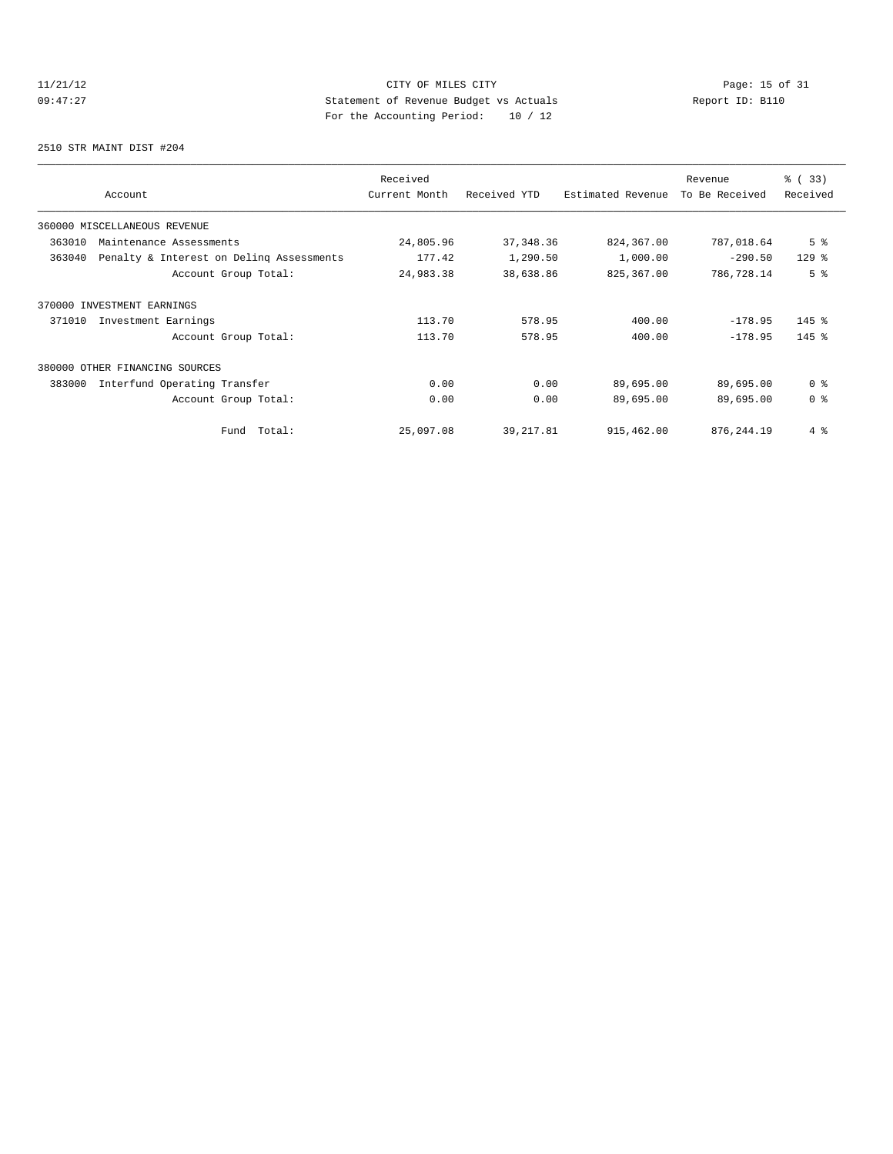# 11/21/12 Page: 15 of 31 09:47:27 Statement of Revenue Budget vs Actuals Report ID: B110 For the Accounting Period: 10 / 12

2510 STR MAINT DIST #204

| Account                                            | Received<br>Current Month | Received YTD | Estimated Revenue | Revenue<br>To Be Received | % (33)<br>Received |
|----------------------------------------------------|---------------------------|--------------|-------------------|---------------------------|--------------------|
| 360000 MISCELLANEOUS REVENUE                       |                           |              |                   |                           |                    |
| 363010<br>Maintenance Assessments                  | 24,805.96                 | 37, 348.36   | 824,367.00        | 787,018.64                | 5 <sup>°</sup>     |
| Penalty & Interest on Deling Assessments<br>363040 | 177.42                    | 1,290.50     | 1,000.00          | $-290.50$                 | $129$ %            |
| Account Group Total:                               | 24,983.38                 | 38,638.86    | 825,367.00        | 786,728.14                | 5 <sup>8</sup>     |
| 370000 INVESTMENT EARNINGS                         |                           |              |                   |                           |                    |
| 371010<br>Investment Earnings                      | 113.70                    | 578.95       | 400.00            | $-178.95$                 | $145$ %            |
| Account Group Total:                               | 113.70                    | 578.95       | 400.00            | $-178.95$                 | $145$ %            |
| 380000 OTHER FINANCING SOURCES                     |                           |              |                   |                           |                    |
| 383000<br>Interfund Operating Transfer             | 0.00                      | 0.00         | 89,695.00         | 89,695.00                 | 0 <sup>8</sup>     |
| Account Group Total:                               | 0.00                      | 0.00         | 89,695.00         | 89,695.00                 | 0 <sup>8</sup>     |
| Total:<br>Fund                                     | 25,097.08                 | 39, 217.81   | 915,462.00        | 876, 244.19               | $4\degree$         |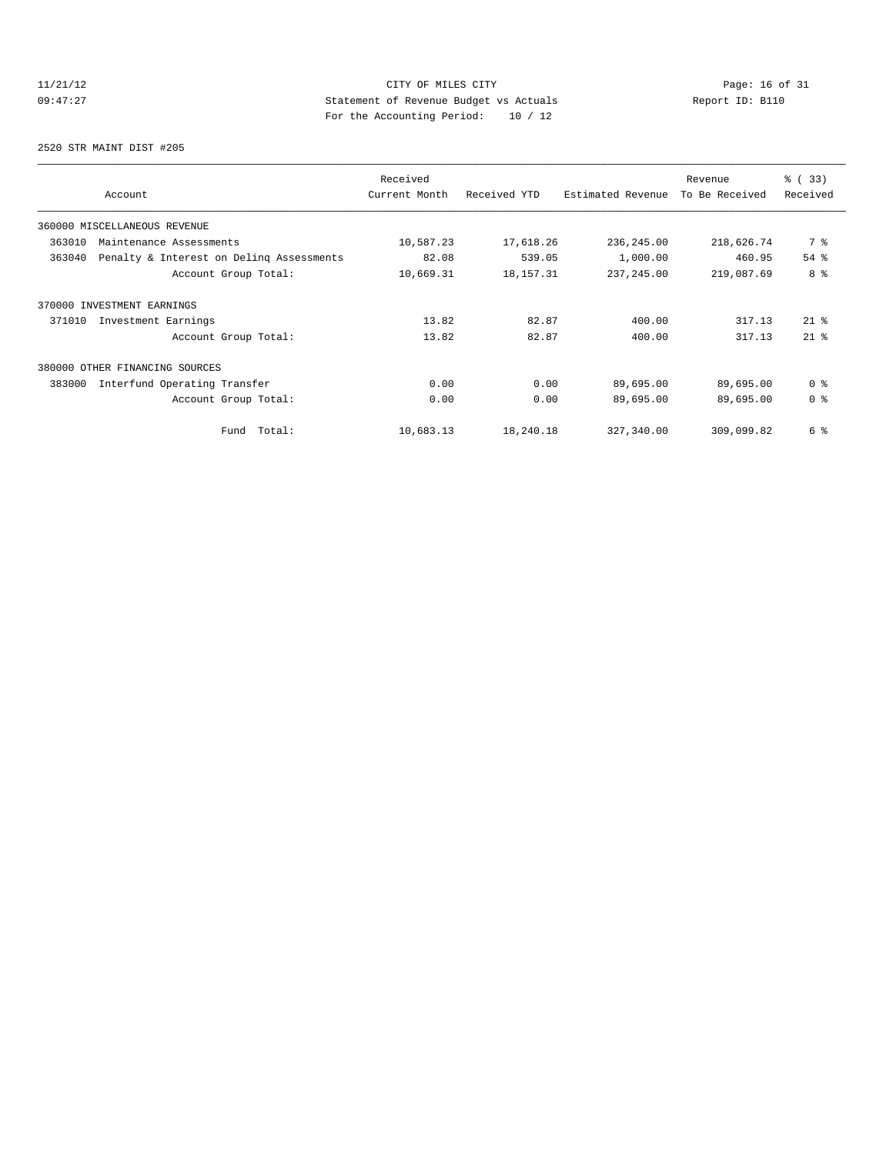# 11/21/12 Page: 16 of 31 09:47:27 Statement of Revenue Budget vs Actuals Report ID: B110 For the Accounting Period: 10 / 12

2520 STR MAINT DIST #205

| Account                                            | Received<br>Current Month | Received YTD | Estimated Revenue | Revenue<br>To Be Received | % (33)<br>Received |
|----------------------------------------------------|---------------------------|--------------|-------------------|---------------------------|--------------------|
| 360000 MISCELLANEOUS REVENUE                       |                           |              |                   |                           |                    |
| 363010<br>Maintenance Assessments                  | 10,587.23                 | 17,618.26    | 236,245.00        | 218,626.74                | 7 %                |
| 363040<br>Penalty & Interest on Deling Assessments | 82.08                     | 539.05       | 1,000.00          | 460.95                    | 54%                |
| Account Group Total:                               | 10,669.31                 | 18, 157. 31  | 237, 245.00       | 219,087.69                | 8 %                |
| 370000 INVESTMENT EARNINGS                         |                           |              |                   |                           |                    |
| Investment Earnings<br>371010                      | 13.82                     | 82.87        | 400.00            | 317.13                    | $21$ %             |
| Account Group Total:                               | 13.82                     | 82.87        | 400.00            | 317.13                    | $21$ %             |
| 380000 OTHER FINANCING SOURCES                     |                           |              |                   |                           |                    |
| 383000<br>Interfund Operating Transfer             | 0.00                      | 0.00         | 89,695.00         | 89,695.00                 | 0 <sup>8</sup>     |
| Account Group Total:                               | 0.00                      | 0.00         | 89,695.00         | 89,695.00                 | 0 <sup>8</sup>     |
| Fund Total:                                        | 10,683.13                 | 18,240.18    | 327,340.00        | 309,099.82                | 6 %                |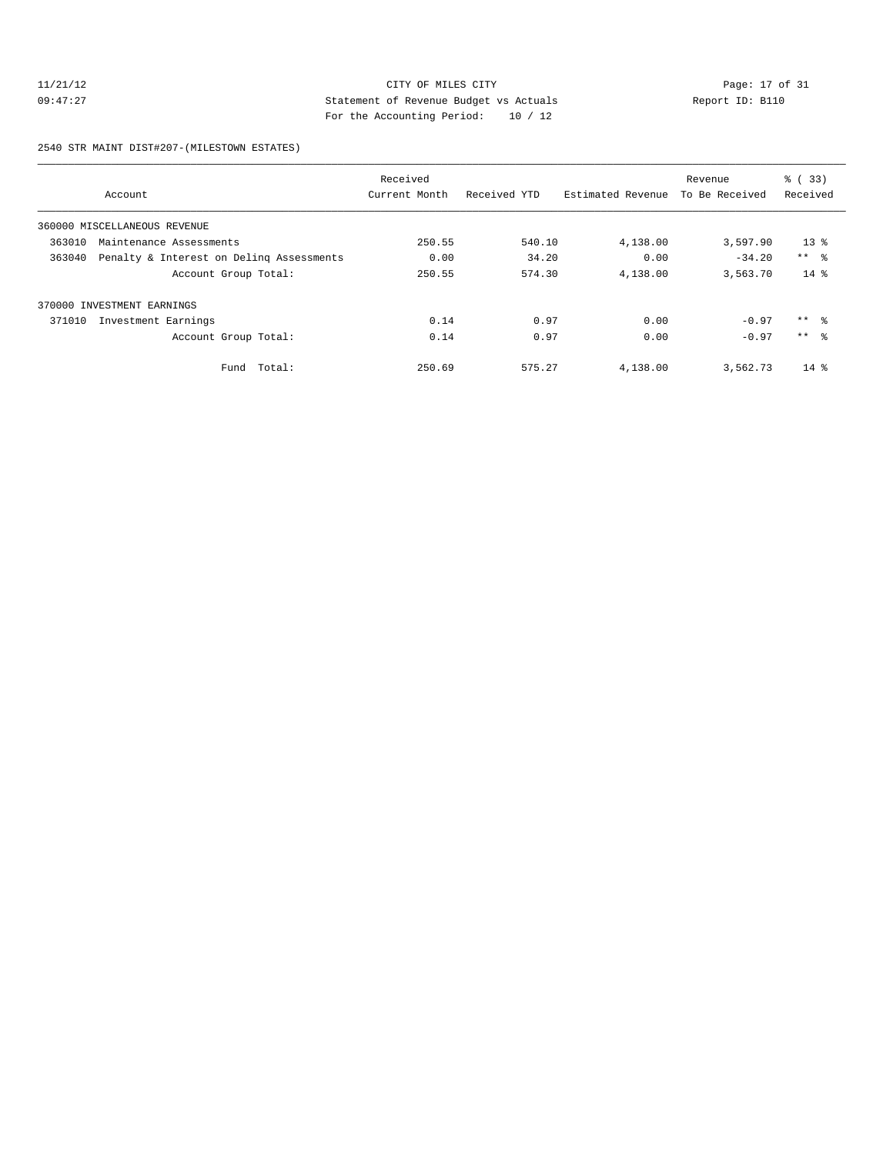# 11/21/12 CITY OF MILES CITY<br>
09:47:27 Page: 17 of 31<br>
20:47:27 Page: 17 of 31<br>
20:47:27 Page: 17 of 31<br>
20:47:27 09:47:27 Statement of Revenue Budget vs Actuals Report ID: B110 For the Accounting Period: 10 / 12

2540 STR MAINT DIST#207-(MILESTOWN ESTATES)

|        |                                          | Received      |              |                   | Revenue        | % (33)   |
|--------|------------------------------------------|---------------|--------------|-------------------|----------------|----------|
|        | Account                                  | Current Month | Received YTD | Estimated Revenue | To Be Received | Received |
|        | 360000 MISCELLANEOUS REVENUE             |               |              |                   |                |          |
| 363010 | Maintenance Assessments                  | 250.55        | 540.10       | 4,138.00          | 3,597.90       | $13*$    |
| 363040 | Penalty & Interest on Deling Assessments | 0.00          | 34.20        | 0.00              | $-34.20$       | $***$ %  |
|        | Account Group Total:                     | 250.55        | 574.30       | 4,138.00          | 3,563.70       | $14*$    |
|        | 370000 INVESTMENT EARNINGS               |               |              |                   |                |          |
| 371010 | Investment Earnings                      | 0.14          | 0.97         | 0.00              | $-0.97$        | $***$ %  |
|        | Account Group Total:                     | 0.14          | 0.97         | 0.00              | $-0.97$        | $***$ %  |
|        | Total:<br>Fund                           | 250.69        | 575.27       | 4,138.00          | 3,562.73       | $14*$    |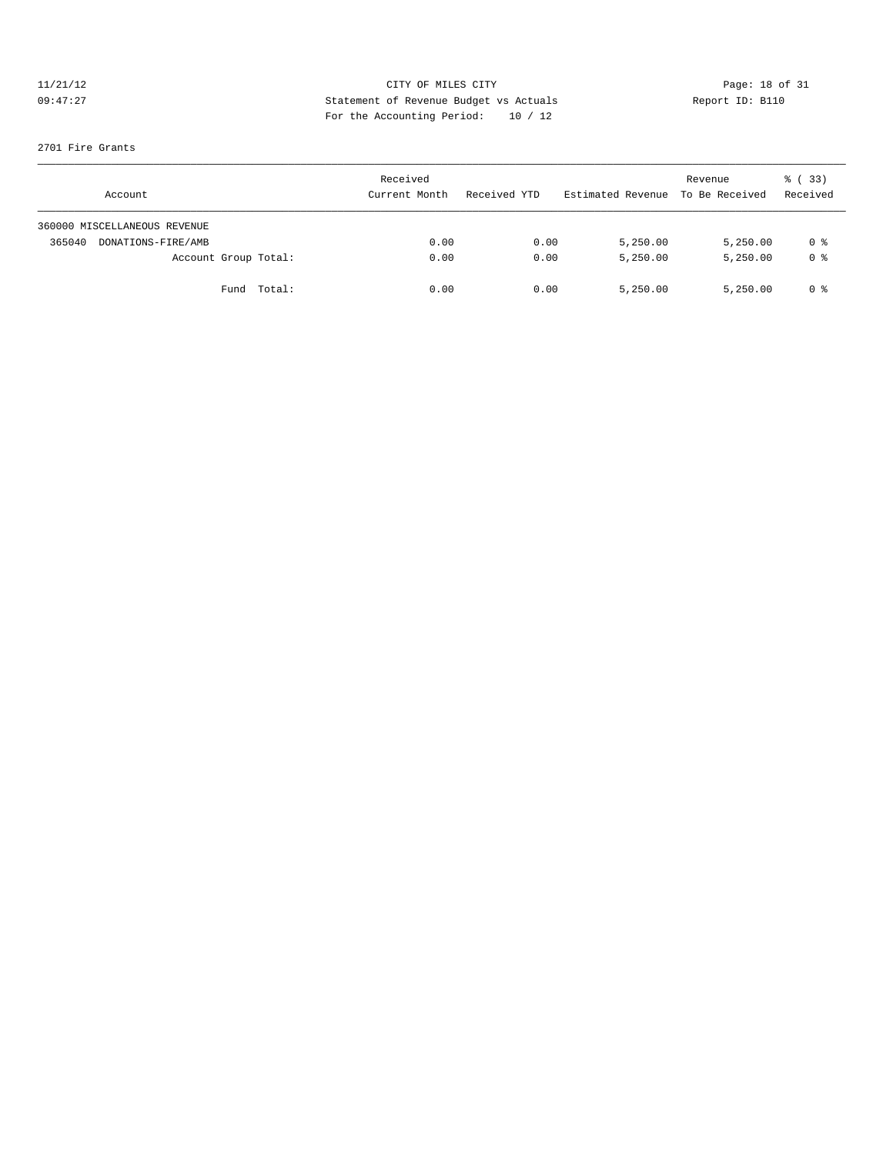# 11/21/12 CITY OF MILES CITY<br>
09:47:27 Page: 18 of 31<br>
Computed by Statement of Revenue Budget vs Actuals<br>
Partha Accounting Davidd: 10 (12) 09:47:27 Statement of Revenue Budget vs Actuals Report ID: B110 For the Accounting Period: 10 / 12

### 2701 Fire Grants

| Account                      | Received<br>Current Month | Received YTD | Estimated Revenue To Be Received | Revenue  | 8 (33)<br>Received |
|------------------------------|---------------------------|--------------|----------------------------------|----------|--------------------|
| 360000 MISCELLANEOUS REVENUE |                           |              |                                  |          |                    |
| DONATIONS-FIRE/AMB<br>365040 | 0.00                      | 0.00         | 5,250.00                         | 5,250.00 | 0 %                |
| Account Group Total:         | 0.00                      | 0.00         | 5,250.00                         | 5,250.00 | 0 <sup>8</sup>     |
| Total:<br>Fund               | 0.00                      | 0.00         | 5,250.00                         | 5,250.00 | 0 %                |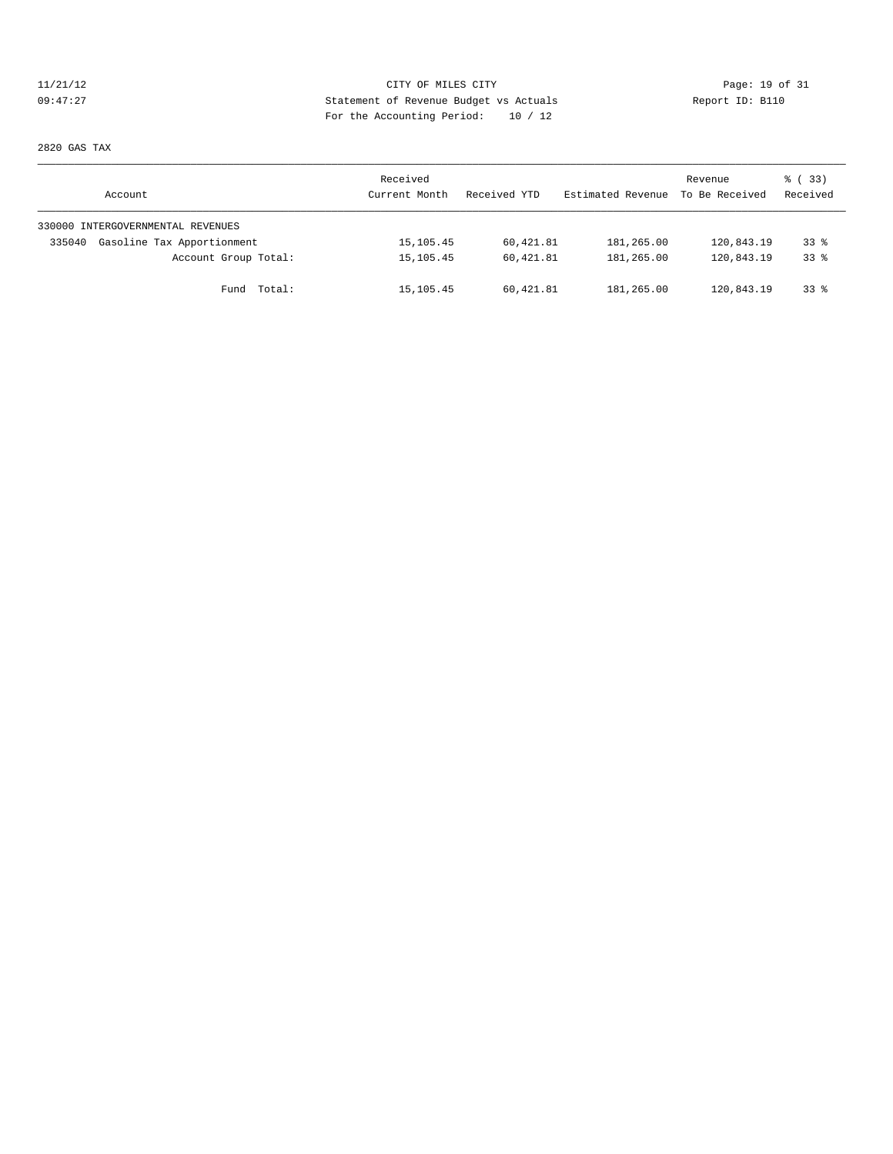# 11/21/12 Page: 19 of 31 09:47:27 Statement of Revenue Budget vs Actuals Report ID: B110 For the Accounting Period: 10 / 12

2820 GAS TAX

| Account                              | Received<br>Current Month | Received YTD | Estimated Revenue | Revenue<br>To Be Received | <sub>ර</sub> ි (33)<br>Received |
|--------------------------------------|---------------------------|--------------|-------------------|---------------------------|---------------------------------|
| 330000 INTERGOVERNMENTAL REVENUES    |                           |              |                   |                           |                                 |
| Gasoline Tax Apportionment<br>335040 | 15,105.45                 | 60,421.81    | 181,265.00        | 120,843.19                | 338                             |
| Account Group Total:                 | 15, 105. 45               | 60,421.81    | 181,265.00        | 120,843.19                | 338                             |
| Fund Total:                          | 15,105.45                 | 60,421.81    | 181,265.00        | 120,843.19                | 338                             |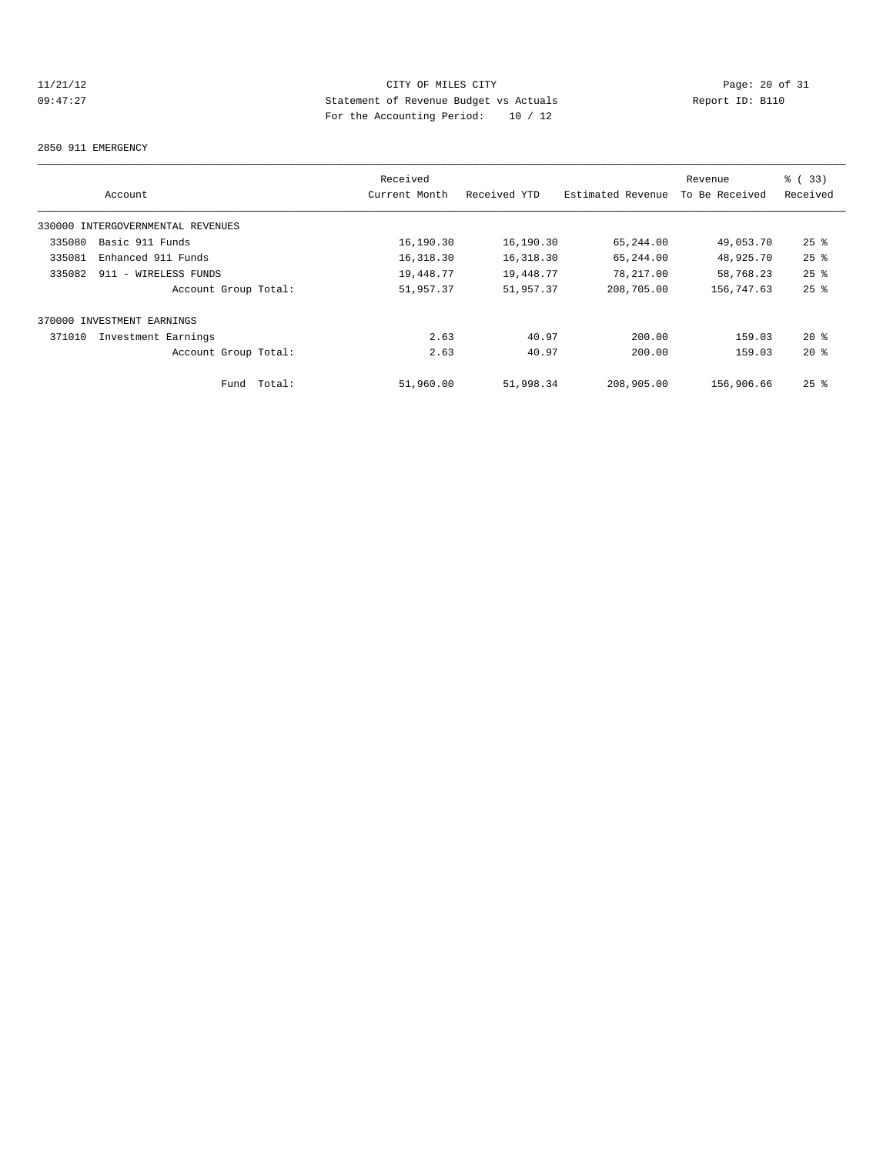# 11/21/12 Page: 20 of 31<br>
21/21/12 Page: 20 of 31<br>
21/21/12 Page: 20 of 31<br>
21/21/12 Page: 20 of 31<br>
21/21/12 Page: 20 of 31<br>
20/21/12 Page: 20 of 31<br>
20/21/12 09:47:27 Statement of Revenue Budget vs Actuals Report ID: B110 For the Accounting Period: 10 / 12

### 2850 911 EMERGENCY

|        |                                   |        | Received      |              |                   | Revenue        | % (33)             |
|--------|-----------------------------------|--------|---------------|--------------|-------------------|----------------|--------------------|
|        | Account                           |        | Current Month | Received YTD | Estimated Revenue | To Be Received | Received           |
|        | 330000 INTERGOVERNMENTAL REVENUES |        |               |              |                   |                |                    |
| 335080 | Basic 911 Funds                   |        | 16,190.30     | 16,190.30    | 65,244.00         | 49,053.70      | $25$ $\frac{6}{5}$ |
| 335081 | Enhanced 911 Funds                |        | 16,318.30     | 16,318.30    | 65,244.00         | 48,925.70      | $25$ %             |
| 335082 | 911 - WIRELESS FUNDS              |        | 19,448.77     | 19,448.77    | 78,217.00         | 58,768.23      | $25$ $%$           |
|        | Account Group Total:              |        | 51,957.37     | 51,957.37    | 208,705.00        | 156,747.63     | $25$ $%$           |
|        | 370000 INVESTMENT EARNINGS        |        |               |              |                   |                |                    |
| 371010 | Investment Earnings               |        | 2.63          | 40.97        | 200.00            | 159.03         | $20*$              |
|        | Account Group Total:              |        | 2.63          | 40.97        | 200.00            | 159.03         | $20*$              |
|        | Fund                              | Total: | 51,960.00     | 51,998.34    | 208,905.00        | 156,906.66     | $25$ $%$           |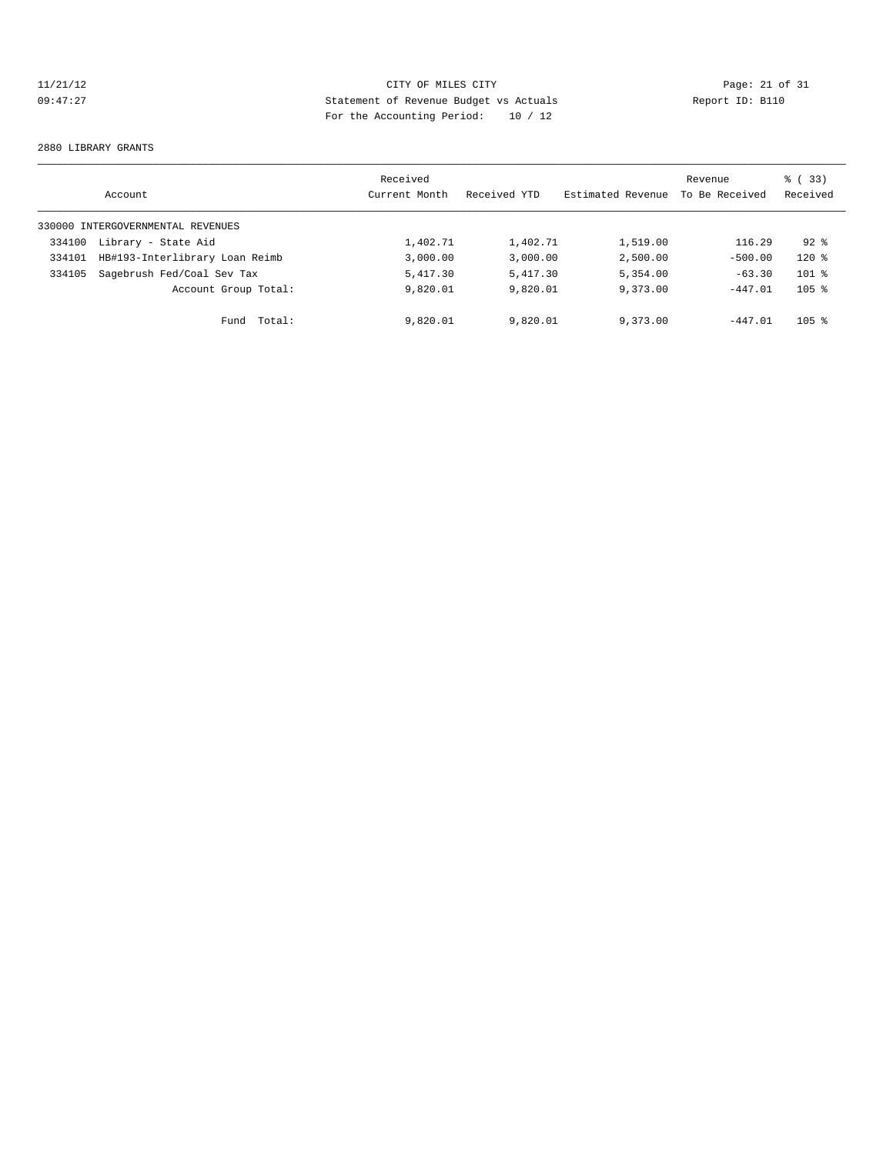# 11/21/12 Page: 21 of 31<br>
21/21/12 Page: 21 of 31<br>
21/21/12 Page: 21 of 31<br>
21/21/12 Page: 21 of 31<br>
2011 Page: 21 of 31<br>
2011 Page: 21<br>
2011 Page: 21<br>
2011 Page: 21<br>
2011 Page: 21<br>
2011 Page: 21<br>
2011 Page: 21<br>
2011 Page: 09:47:27 Statement of Revenue Budget vs Actuals Report ID: B110 For the Accounting Period: 10 / 12

### 2880 LIBRARY GRANTS

|        | Account                           | Received<br>Current Month | Received YTD | Estimated Revenue | Revenue<br>To Be Received | ී (<br>(33)<br>Received |
|--------|-----------------------------------|---------------------------|--------------|-------------------|---------------------------|-------------------------|
|        | 330000 INTERGOVERNMENTAL REVENUES |                           |              |                   |                           |                         |
| 334100 | Library - State Aid               | 1,402.71                  | 1,402.71     | 1,519.00          | 116.29                    | $92*$                   |
| 334101 | HB#193-Interlibrary Loan Reimb    | 3,000.00                  | 3,000.00     | 2,500.00          | $-500.00$                 | $120$ %                 |
| 334105 | Sagebrush Fed/Coal Sev Tax        | 5,417.30                  | 5,417.30     | 5,354.00          | $-63.30$                  | $101$ %                 |
|        | Account Group Total:              | 9,820.01                  | 9,820.01     | 9,373.00          | $-447.01$                 | $105$ %                 |
|        | Total:<br>Fund                    | 9,820.01                  | 9,820.01     | 9,373.00          | $-447.01$                 | 105 <sub>8</sub>        |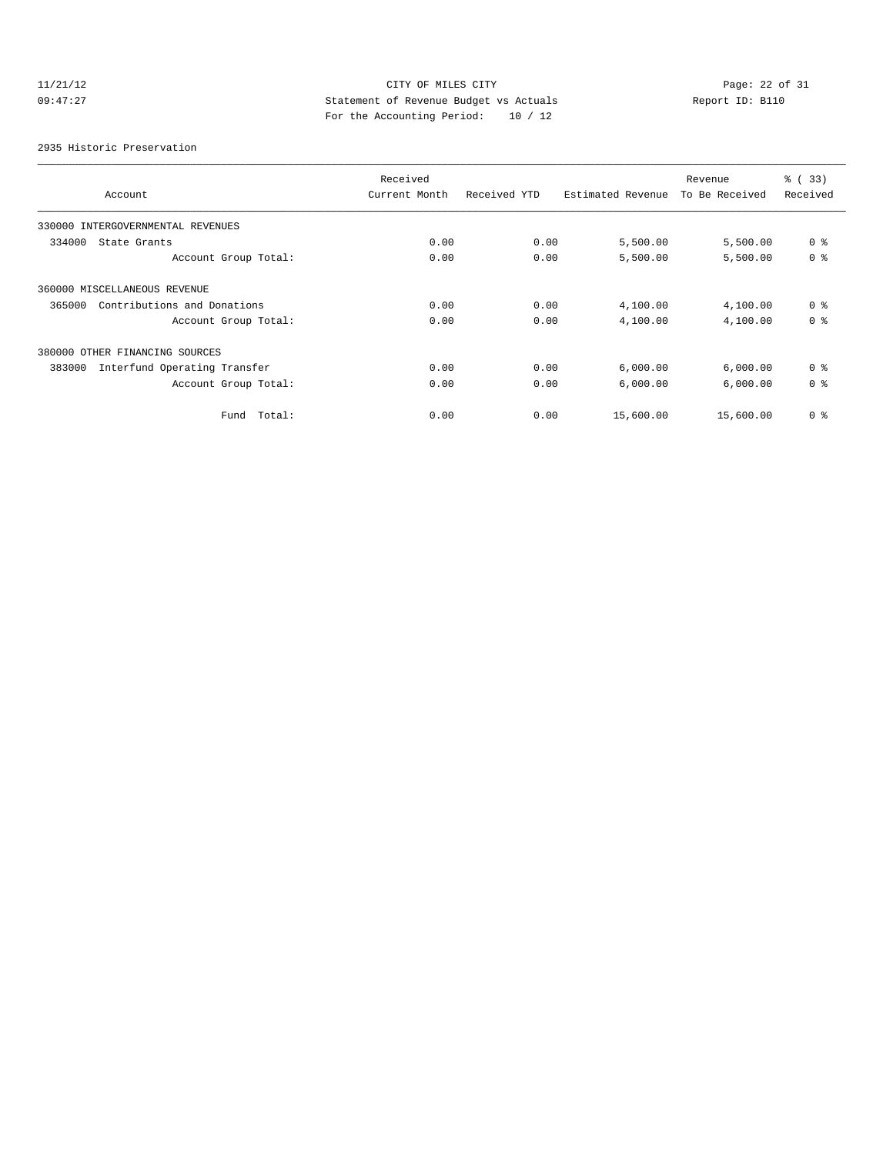# 11/21/12 CITY OF MILES CITY<br>
09:47:27 Page: 22 of 31<br>
Computed by Statement of Revenue Budget vs Actuals<br>
Partha Accounting Davidd: 10 (12) 09:47:27 Statement of Revenue Budget vs Actuals Report ID: B110 For the Accounting Period: 10 / 12

2935 Historic Preservation

|                                        | Received      |              |                   | Revenue        | % (33)         |  |
|----------------------------------------|---------------|--------------|-------------------|----------------|----------------|--|
| Account                                | Current Month | Received YTD | Estimated Revenue | To Be Received | Received       |  |
| 330000<br>INTERGOVERNMENTAL REVENUES   |               |              |                   |                |                |  |
| 334000<br>State Grants                 | 0.00          | 0.00         | 5,500.00          | 5,500.00       | 0 <sup>8</sup> |  |
| Account Group Total:                   | 0.00          | 0.00         | 5,500.00          | 5,500.00       | 0 <sup>8</sup> |  |
| 360000 MISCELLANEOUS REVENUE           |               |              |                   |                |                |  |
| Contributions and Donations<br>365000  | 0.00          | 0.00         | 4,100.00          | 4,100.00       | 0 <sup>8</sup> |  |
| Account Group Total:                   | 0.00          | 0.00         | 4,100.00          | 4,100.00       | 0 <sup>8</sup> |  |
| 380000 OTHER FINANCING SOURCES         |               |              |                   |                |                |  |
| Interfund Operating Transfer<br>383000 | 0.00          | 0.00         | 6,000.00          | 6,000.00       | 0 <sup>8</sup> |  |
| Account Group Total:                   | 0.00          | 0.00         | 6,000.00          | 6,000.00       | 0 <sup>8</sup> |  |
| Fund Total:                            | 0.00          | 0.00         | 15,600.00         | 15,600.00      | 0 <sup>8</sup> |  |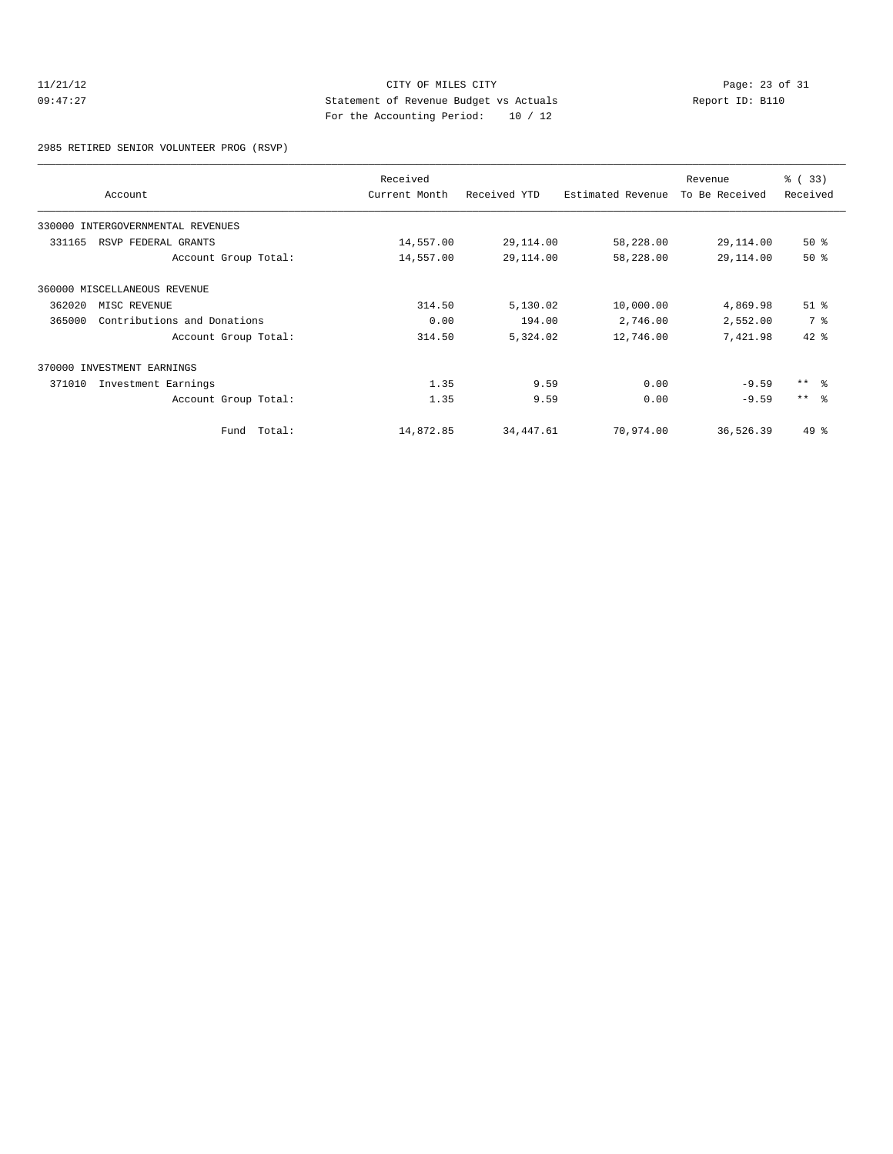# 11/21/12 CITY OF MILES CITY<br>
09:47:27 Page: 23 of 31<br>
20:47:27 Page: 23 of 31<br>
20:47:27 Page: 23 of 31<br>
20:47:27 09:47:27 Statement of Revenue Budget vs Actuals Report ID: B110 For the Accounting Period: 10 / 12

2985 RETIRED SENIOR VOLUNTEER PROG (RSVP)

|        | Account                      | Received<br>Current Month | Received YTD | Estimated Revenue | Revenue<br>To Be Received | % (33)<br>Received  |
|--------|------------------------------|---------------------------|--------------|-------------------|---------------------------|---------------------|
| 330000 | INTERGOVERNMENTAL REVENUES   |                           |              |                   |                           |                     |
| 331165 | RSVP FEDERAL GRANTS          | 14,557.00                 | 29,114.00    | 58,228.00         | 29,114.00                 | 50%                 |
|        | Account Group Total:         | 14,557.00                 | 29,114.00    | 58,228.00         | 29,114.00                 | 50%                 |
|        | 360000 MISCELLANEOUS REVENUE |                           |              |                   |                           |                     |
| 362020 | MISC REVENUE                 | 314.50                    | 5,130.02     | 10,000.00         | 4,869.98                  | $51$ $%$            |
| 365000 | Contributions and Donations  | 0.00                      | 194.00       | 2,746.00          | 2,552.00                  | 7 %                 |
|        | Account Group Total:         | 314.50                    | 5,324.02     | 12,746.00         | 7,421.98                  | $42*$               |
|        | 370000 INVESTMENT EARNINGS   |                           |              |                   |                           |                     |
| 371010 | Investment Earnings          | 1.35                      | 9.59         | 0.00              | $-9.59$                   | $***$ $\frac{6}{5}$ |
|        | Account Group Total:         | 1.35                      | 9.59         | 0.00              | $-9.59$                   | $***$ $ -$          |
|        | Fund Total:                  | 14,872.85                 | 34,447.61    | 70,974.00         | 36,526.39                 | 49 %                |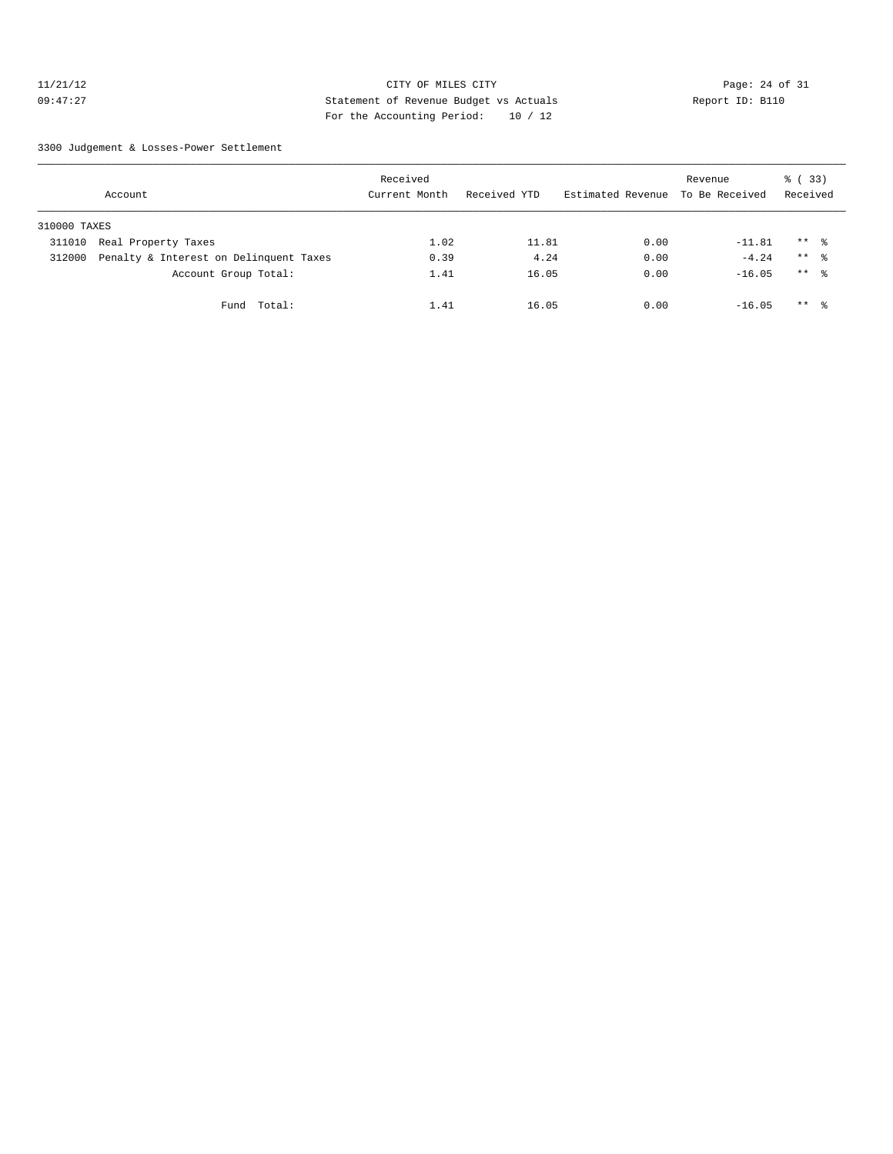# 11/21/12 Page: 24 of 31 09:47:27 Statement of Revenue Budget vs Actuals Report ID: B110 For the Accounting Period: 10 / 12

3300 Judgement & Losses-Power Settlement

|              | Account                                | Received<br>Current Month | Received YTD | Estimated Revenue | Revenue<br>To Be Received | 8 (33)<br>Received |  |
|--------------|----------------------------------------|---------------------------|--------------|-------------------|---------------------------|--------------------|--|
| 310000 TAXES |                                        |                           |              |                   |                           |                    |  |
| 311010       | Real Property Taxes                    | 1.02                      | 11.81        | 0.00              | $-11.81$                  | $***$ %            |  |
| 312000       | Penalty & Interest on Delinquent Taxes | 0.39                      | 4.24         | 0.00              | $-4.24$                   | $***$ %            |  |
|              | Account Group Total:                   | 1.41                      | 16.05        | 0.00              | $-16.05$                  | $***$ %            |  |
|              | Fund Total:                            | 1.41                      | 16.05        | 0.00              | $-16.05$                  | $***$ 8            |  |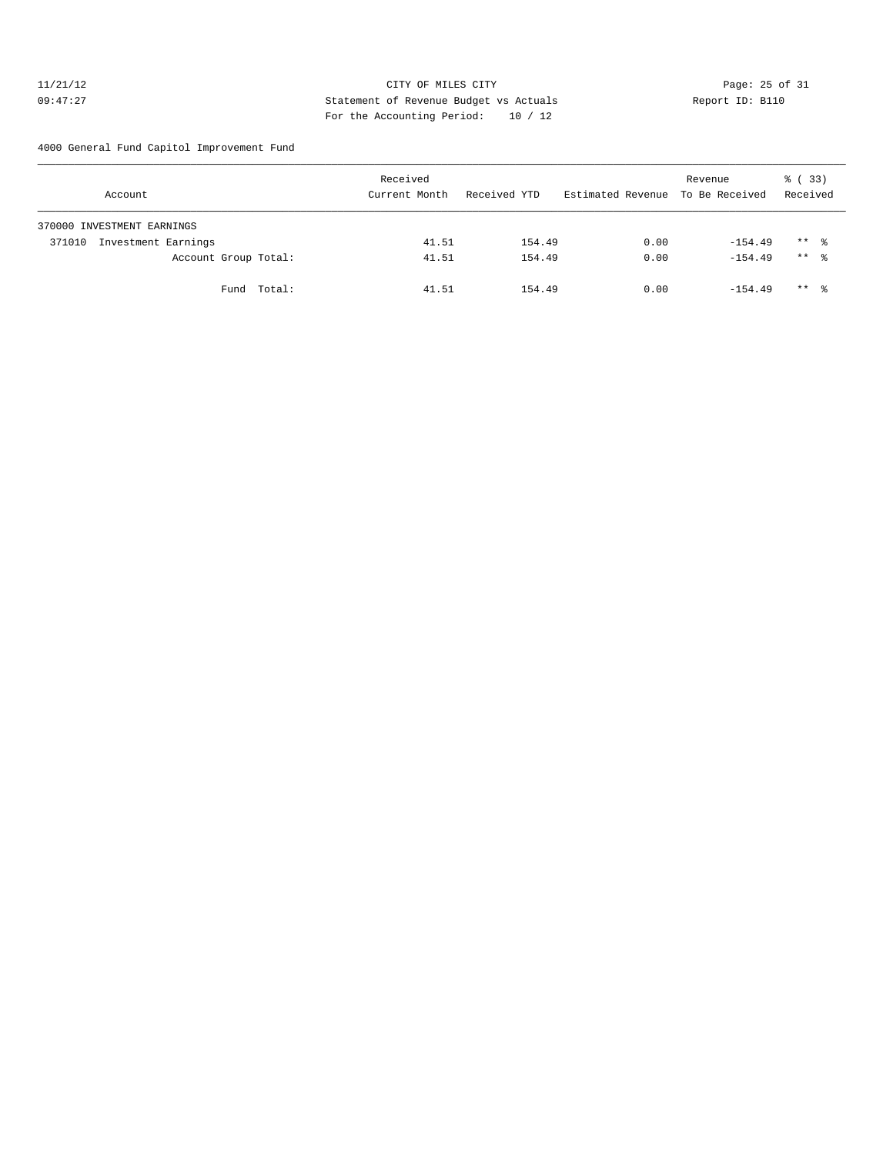# 11/21/12 Page: 25 of 31 09:47:27 Statement of Revenue Budget vs Actuals Report ID: B110 For the Accounting Period: 10 / 12

4000 General Fund Capitol Improvement Fund

| Account                       |                      | Received<br>Current Month | Received YTD | Estimated Revenue To Be Received | Revenue   | % (33)<br>Received |
|-------------------------------|----------------------|---------------------------|--------------|----------------------------------|-----------|--------------------|
| 370000 INVESTMENT EARNINGS    |                      |                           |              |                                  |           |                    |
| Investment Earnings<br>371010 |                      | 41.51                     | 154.49       | 0.00                             | $-154.49$ | $***$ %            |
|                               | Account Group Total: | 41.51                     | 154.49       | 0.00                             | $-154.49$ | $***$ $\approx$    |
|                               | Fund Total:          | 41.51                     | 154.49       | 0.00                             | $-154.49$ | $***$ %            |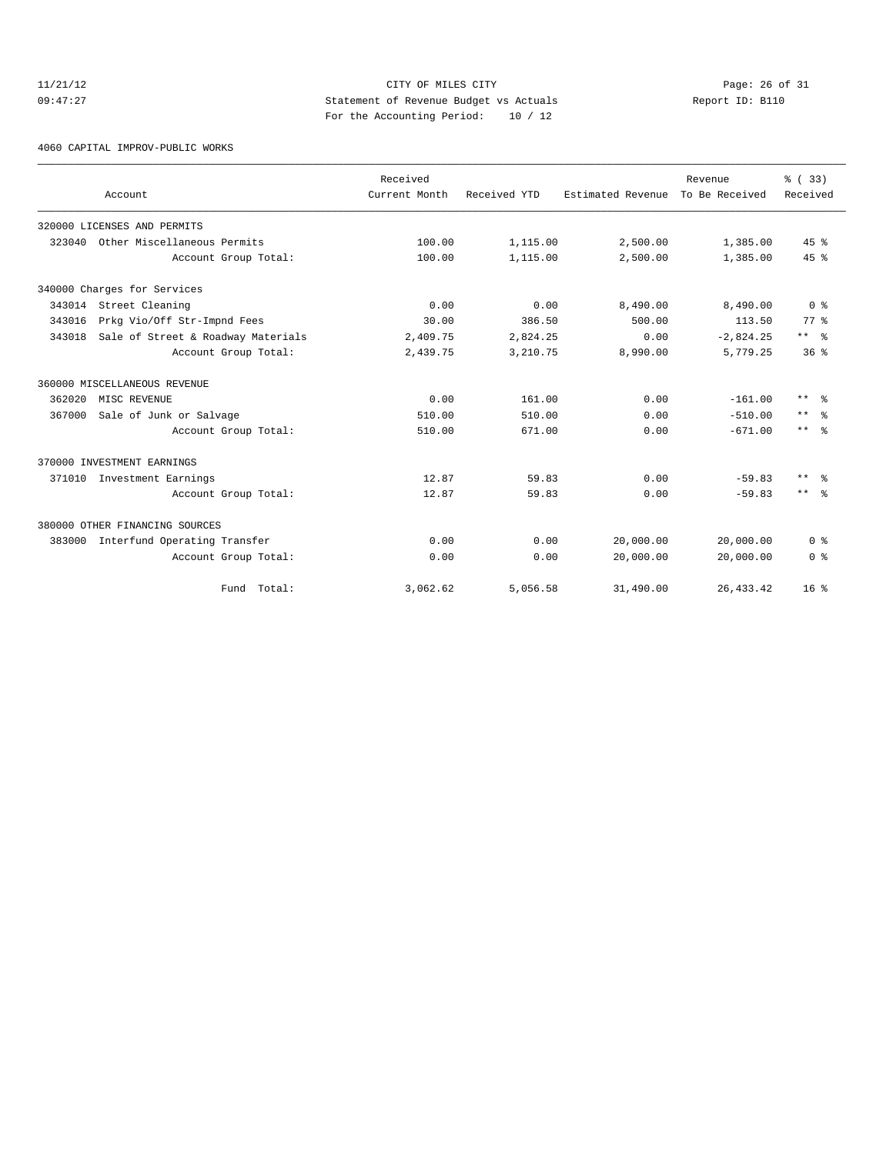# 11/21/12 Page: 26 of 31 09:47:27 Statement of Revenue Budget vs Actuals Report ID: B110 For the Accounting Period: 10 / 12

4060 CAPITAL IMPROV-PUBLIC WORKS

|        | Account                             | Received<br>Current Month | Received YTD | Estimated Revenue To Be Received | Revenue     | % (33)<br>Received      |
|--------|-------------------------------------|---------------------------|--------------|----------------------------------|-------------|-------------------------|
|        |                                     |                           |              |                                  |             |                         |
|        | 320000 LICENSES AND PERMITS         |                           |              |                                  |             |                         |
| 323040 | Other Miscellaneous Permits         | 100.00                    | 1,115.00     | 2,500.00                         | 1,385.00    | 45%                     |
|        | Account Group Total:                | 100.00                    | 1,115.00     | 2,500.00                         | 1,385.00    | 45%                     |
|        | 340000 Charges for Services         |                           |              |                                  |             |                         |
|        | 343014 Street Cleaning              | 0.00                      | 0.00         | 8,490.00                         | 8,490.00    | 0 <sup>8</sup>          |
| 343016 | Prkg Vio/Off Str-Impnd Fees         | 30.00                     | 386.50       | 500.00                           | 113.50      | $77*$                   |
| 343018 | Sale of Street & Roadway Materials  | 2,409.75                  | 2,824.25     | 0.00                             | $-2,824.25$ | $***$ $%$               |
|        | Account Group Total:                | 2,439.75                  | 3,210.75     | 8,990.00                         | 5,779.25    | 36 <sup>8</sup>         |
|        | 360000 MISCELLANEOUS REVENUE        |                           |              |                                  |             |                         |
| 362020 | MISC REVENUE                        | 0.00                      | 161.00       | 0.00                             | $-161.00$   | $***$ $=$ $\frac{6}{5}$ |
| 367000 | Sale of Junk or Salvage             | 510.00                    | 510.00       | 0.00                             | $-510.00$   | $***$<br>ം ക            |
|        | Account Group Total:                | 510.00                    | 671.00       | 0.00                             | $-671.00$   | $***$ $\approx$         |
|        | 370000 INVESTMENT EARNINGS          |                           |              |                                  |             |                         |
| 371010 | Investment Earnings                 | 12.87                     | 59.83        | 0.00                             | $-59.83$    | $***$<br>్లి            |
|        | Account Group Total:                | 12.87                     | 59.83        | 0.00                             | $-59.83$    | $***$ $\approx$         |
|        | 380000 OTHER FINANCING SOURCES      |                           |              |                                  |             |                         |
|        | 383000 Interfund Operating Transfer | 0.00                      | 0.00         | 20,000.00                        | 20,000.00   | 0 <sup>8</sup>          |
|        | Account Group Total:                | 0.00                      | 0.00         | 20,000.00                        | 20,000.00   | 0 <sup>8</sup>          |
|        | Fund Total:                         | 3,062.62                  | 5,056.58     | 31,490.00                        | 26, 433.42  | 16 <sup>8</sup>         |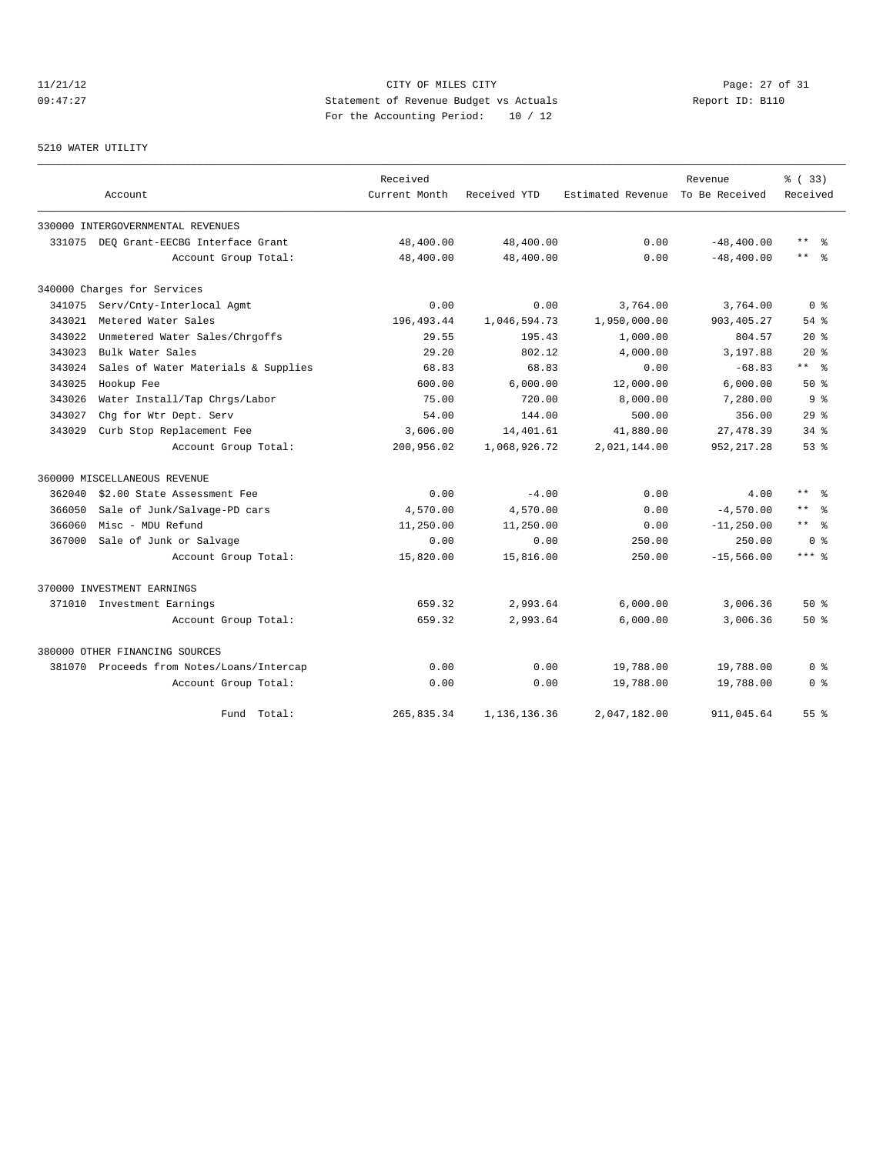# 11/21/12 Page: 27 of 31 09:47:27 Statement of Revenue Budget vs Actuals Report ID: B110 For the Accounting Period: 10 / 12

### 5210 WATER UTILITY

|        |                                           | Received      |              |                   | Revenue        | % ( 33)                   |
|--------|-------------------------------------------|---------------|--------------|-------------------|----------------|---------------------------|
|        | Account                                   | Current Month | Received YTD | Estimated Revenue | To Be Received | Received                  |
|        | 330000 INTERGOVERNMENTAL REVENUES         |               |              |                   |                |                           |
|        | 331075 DEO Grant-EECBG Interface Grant    | 48,400.00     | 48,400.00    | 0.00              | $-48, 400.00$  | $***$<br>$\approx$        |
|        | Account Group Total:                      | 48,400.00     | 48,400.00    | 0.00              | $-48, 400.00$  | $***$ %                   |
|        | 340000 Charges for Services               |               |              |                   |                |                           |
| 341075 | Serv/Cnty-Interlocal Agmt                 | 0.00          | 0.00         | 3,764.00          | 3,764.00       | 0 <sup>8</sup>            |
| 343021 | Metered Water Sales                       | 196, 493.44   | 1,046,594.73 | 1,950,000.00      | 903, 405.27    | $54$ $%$                  |
| 343022 | Unmetered Water Sales/Chrgoffs            | 29.55         | 195.43       | 1,000.00          | 804.57         | $20*$                     |
| 343023 | Bulk Water Sales                          | 29.20         | 802.12       | 4,000.00          | 3,197.88       | $20*$                     |
| 343024 | Sales of Water Materials & Supplies       | 68.83         | 68.83        | 0.00              | $-68.83$       | $***$ $ \frac{6}{9}$      |
| 343025 | Hookup Fee                                | 600.00        | 6,000.00     | 12,000.00         | 6,000.00       | 50%                       |
| 343026 | Water Install/Tap Chrgs/Labor             | 75.00         | 720.00       | 8,000.00          | 7,280.00       | 9 <sub>8</sub>            |
| 343027 | Chq for Wtr Dept. Serv                    | 54.00         | 144.00       | 500.00            | 356.00         | 29%                       |
| 343029 | Curb Stop Replacement Fee                 | 3,606.00      | 14,401.61    | 41,880.00         | 27, 478.39     | $34$ $%$                  |
|        | Account Group Total:                      | 200,956.02    | 1,068,926.72 | 2,021,144.00      | 952, 217.28    | 53%                       |
|        | 360000 MISCELLANEOUS REVENUE              |               |              |                   |                |                           |
| 362040 | \$2.00 State Assessment Fee               | 0.00          | $-4.00$      | 0.00              | 4.00           | $***$<br>ം ക              |
| 366050 | Sale of Junk/Salvage-PD cars              | 4,570.00      | 4,570.00     | 0.00              | $-4,570.00$    | $\star\star$<br>ু         |
| 366060 | Misc - MDU Refund                         | 11,250.00     | 11,250.00    | 0.00              | $-11, 250.00$  | $\star\star$<br>$\approx$ |
| 367000 | Sale of Junk or Salvage                   | 0.00          | 0.00         | 250.00            | 250.00         | 0 <sup>8</sup>            |
|        | Account Group Total:                      | 15,820.00     | 15,816.00    | 250.00            | $-15,566.00$   | $***$ %                   |
|        | 370000 INVESTMENT EARNINGS                |               |              |                   |                |                           |
|        | 371010 Investment Earnings                | 659.32        | 2,993.64     | 6,000.00          | 3,006.36       | 50%                       |
|        | Account Group Total:                      | 659.32        | 2,993.64     | 6,000.00          | 3,006.36       | 50%                       |
|        | 380000 OTHER FINANCING SOURCES            |               |              |                   |                |                           |
|        | 381070 Proceeds from Notes/Loans/Intercap | 0.00          | 0.00         | 19,788.00         | 19,788.00      | 0 <sup>8</sup>            |
|        | Account Group Total:                      | 0.00          | 0.00         | 19,788.00         | 19,788.00      | 0 <sub>8</sub>            |
|        | Fund Total:                               | 265,835.34    | 1,136,136.36 | 2,047,182.00      | 911,045.64     | 55 <sup>8</sup>           |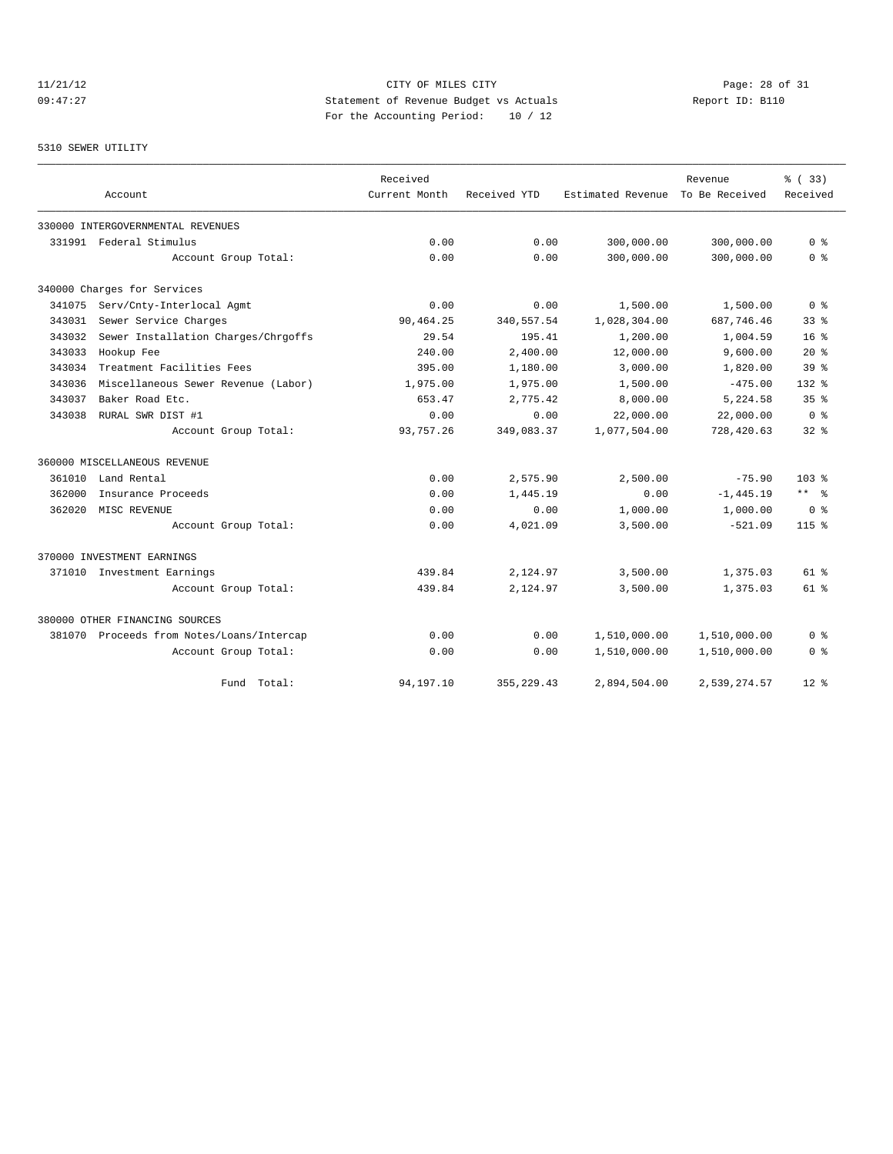# 11/21/12 Page: 28 of 31 09:47:27 Statement of Revenue Budget vs Actuals Report ID: B110 For the Accounting Period: 10 / 12

# 5310 SEWER UTILITY

|        |                                           | Received      |              |                   | Revenue        | % (33)          |
|--------|-------------------------------------------|---------------|--------------|-------------------|----------------|-----------------|
|        | Account                                   | Current Month | Received YTD | Estimated Revenue | To Be Received | Received        |
|        | 330000 INTERGOVERNMENTAL REVENUES         |               |              |                   |                |                 |
|        | 331991 Federal Stimulus                   | 0.00          | 0.00         | 300,000.00        | 300,000.00     | 0 <sup>8</sup>  |
|        | Account Group Total:                      | 0.00          | 0.00         | 300,000.00        | 300,000.00     | 0 <sup>8</sup>  |
|        | 340000 Charges for Services               |               |              |                   |                |                 |
| 341075 | Serv/Cnty-Interlocal Agmt                 | 0.00          | 0.00         | 1,500.00          | 1,500.00       | 0 <sup>8</sup>  |
| 343031 | Sewer Service Charges                     | 90,464.25     | 340,557.54   | 1,028,304.00      | 687,746.46     | 33 <sup>8</sup> |
| 343032 | Sewer Installation Charges/Chrgoffs       | 29.54         | 195.41       | 1,200.00          | 1,004.59       | 16 <sup>8</sup> |
| 343033 | Hookup Fee                                | 240.00        | 2.400.00     | 12,000.00         | 9,600.00       | $20*$           |
| 343034 | Treatment Facilities Fees                 | 395.00        | 1,180.00     | 3,000.00          | 1,820.00       | 39 <sup>8</sup> |
| 343036 | Miscellaneous Sewer Revenue (Labor)       | 1,975.00      | 1,975.00     | 1,500.00          | $-475.00$      | $132*$          |
| 343037 | Baker Road Etc.                           | 653.47        | 2,775.42     | 8,000.00          | 5,224.58       | 35 <sup>8</sup> |
| 343038 | RURAL SWR DIST #1                         | 0.00          | 0.00         | 22,000.00         | 22,000.00      | 0 <sup>8</sup>  |
|        | Account Group Total:                      | 93,757.26     | 349,083.37   | 1,077,504.00      | 728,420.63     | $32$ $%$        |
|        | 360000 MISCELLANEOUS REVENUE              |               |              |                   |                |                 |
| 361010 | Land Rental                               | 0.00          | 2,575.90     | 2,500.00          | $-75.90$       | $103*$          |
| 362000 | Insurance Proceeds                        | 0.00          | 1,445.19     | 0.00              | $-1, 445.19$   | $***$ $ -$      |
| 362020 | MISC REVENUE                              | 0.00          | 0.00         | 1,000.00          | 1,000.00       | 0 <sup>8</sup>  |
|        | Account Group Total:                      | 0.00          | 4,021.09     | 3,500.00          | $-521.09$      | $115$ %         |
|        | 370000 INVESTMENT EARNINGS                |               |              |                   |                |                 |
|        | 371010 Investment Earnings                | 439.84        | 2,124.97     | 3,500.00          | 1,375.03       | $61$ $%$        |
|        | Account Group Total:                      | 439.84        | 2,124.97     | 3,500.00          | 1,375.03       | 61 %            |
|        | 380000 OTHER FINANCING SOURCES            |               |              |                   |                |                 |
|        | 381070 Proceeds from Notes/Loans/Intercap | 0.00          | 0.00         | 1,510,000.00      | 1,510,000.00   | 0 %             |
|        | Account Group Total:                      | 0.00          | 0.00         | 1,510,000.00      | 1,510,000.00   | 0 <sup>8</sup>  |
|        | Total:<br>Fund                            | 94, 197. 10   | 355, 229.43  | 2,894,504.00      | 2,539,274.57   | $12*$           |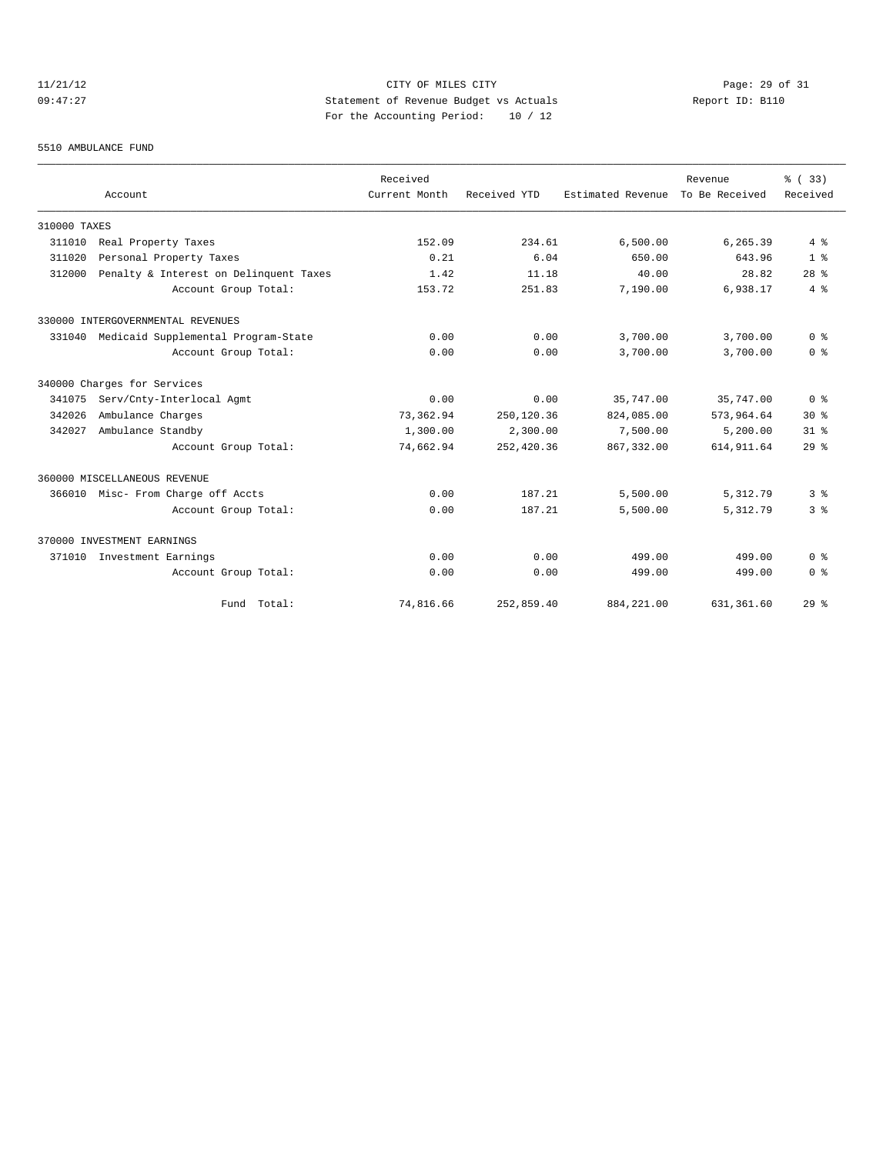# 11/21/12 Page: 29 of 31 09:47:27 Statement of Revenue Budget vs Actuals Report ID: B110 For the Accounting Period: 10 / 12

### 5510 AMBULANCE FUND

|              |                                        | Received      |              |                   | Revenue        | % (33)                             |
|--------------|----------------------------------------|---------------|--------------|-------------------|----------------|------------------------------------|
|              | Account                                | Current Month | Received YTD | Estimated Revenue | To Be Received | Received                           |
| 310000 TAXES |                                        |               |              |                   |                |                                    |
| 311010       | Real Property Taxes                    | 152.09        | 234.61       | 6,500.00          | 6,265.39       | 4%                                 |
| 311020       | Personal Property Taxes                | 0.21          | 6.04         | 650.00            | 643.96         | 1 <sup>8</sup>                     |
| 312000       | Penalty & Interest on Delinquent Taxes | 1.42          | 11.18        | 40.00             | 28.82          | 28 <sup>8</sup>                    |
|              | Account Group Total:                   | 153.72        | 251.83       | 7,190.00          | 6,938.17       | 4%                                 |
|              | 330000 INTERGOVERNMENTAL REVENUES      |               |              |                   |                |                                    |
| 331040       | Medicaid Supplemental Program-State    | 0.00          | 0.00         | 3,700.00          | 3,700.00       | 0 <sup>8</sup>                     |
|              | Account Group Total:                   | 0.00          | 0.00         | 3,700.00          | 3,700.00       | 0 <sup>8</sup>                     |
|              | 340000 Charges for Services            |               |              |                   |                |                                    |
| 341075       | Serv/Cnty-Interlocal Agmt              | 0.00          | 0.00         | 35,747.00         | 35,747.00      | $0 \text{ }$ $\text{ }$ $\text{ }$ |
| 342026       | Ambulance Charges                      | 73,362.94     | 250,120.36   | 824,085.00        | 573,964.64     | $30*$                              |
| 342027       | Ambulance Standby                      | 1,300.00      | 2,300.00     | 7,500.00          | 5,200.00       | 31 <sup>8</sup>                    |
|              | Account Group Total:                   | 74,662.94     | 252,420.36   | 867, 332, 00      | 614, 911.64    | 29%                                |
|              | 360000 MISCELLANEOUS REVENUE           |               |              |                   |                |                                    |
|              | 366010 Misc- From Charge off Accts     | 0.00          | 187.21       | 5,500.00          | 5,312.79       | 3%                                 |
|              | Account Group Total:                   | 0.00          | 187.21       | 5,500.00          | 5,312.79       | 3%                                 |
|              | 370000 INVESTMENT EARNINGS             |               |              |                   |                |                                    |
| 371010       | Investment Earnings                    | 0.00          | 0.00         | 499.00            | 499.00         | 0 <sup>8</sup>                     |
|              | Account Group Total:                   | 0.00          | 0.00         | 499.00            | 499.00         | 0 <sup>8</sup>                     |
|              | Fund Total:                            | 74,816.66     | 252,859.40   | 884, 221.00       | 631,361.60     | 29%                                |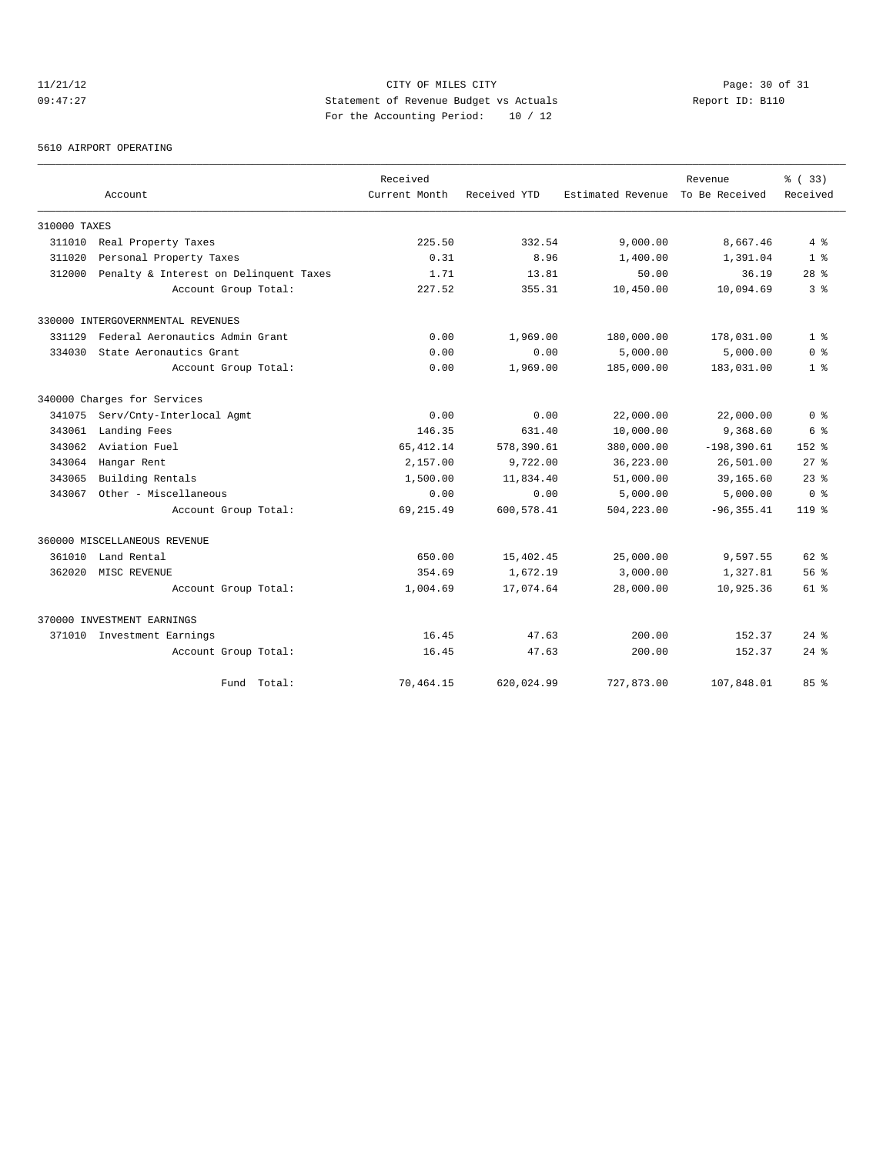# 11/21/12 Page: 30 of 31 09:47:27 Statement of Revenue Budget vs Actuals Report ID: B110 For the Accounting Period: 10 / 12

5610 AIRPORT OPERATING

|              |                                        | Received      |              |                   | Revenue        | % ( 33)         |
|--------------|----------------------------------------|---------------|--------------|-------------------|----------------|-----------------|
|              | Account                                | Current Month | Received YTD | Estimated Revenue | To Be Received | Received        |
| 310000 TAXES |                                        |               |              |                   |                |                 |
| 311010       | Real Property Taxes                    | 225.50        | 332.54       | 9,000.00          | 8,667.46       | 4%              |
| 311020       | Personal Property Taxes                | 0.31          | 8.96         | 1,400.00          | 1,391.04       | 1 <sup>8</sup>  |
| 312000       | Penalty & Interest on Delinquent Taxes | 1.71          | 13.81        | 50.00             | 36.19          | 28 <sup>8</sup> |
|              | Account Group Total:                   | 227.52        | 355.31       | 10,450.00         | 10,094.69      | 3 <sup>8</sup>  |
|              | 330000 INTERGOVERNMENTAL REVENUES      |               |              |                   |                |                 |
| 331129       | Federal Aeronautics Admin Grant        | 0.00          | 1,969.00     | 180,000.00        | 178,031.00     | 1 <sup>8</sup>  |
| 334030       | State Aeronautics Grant                | 0.00          | 0.00         | 5,000.00          | 5,000.00       | 0 <sup>8</sup>  |
|              | Account Group Total:                   | 0.00          | 1,969.00     | 185,000.00        | 183,031.00     | 1 <sup>8</sup>  |
|              | 340000 Charges for Services            |               |              |                   |                |                 |
| 341075       | Serv/Cnty-Interlocal Agmt              | 0.00          | 0.00         | 22,000.00         | 22,000.00      | 0 <sup>8</sup>  |
| 343061       | Landing Fees                           | 146.35        | 631.40       | 10,000.00         | 9,368.60       | 6 %             |
| 343062       | Aviation Fuel                          | 65, 412.14    | 578,390.61   | 380,000.00        | $-198, 390.61$ | $152*$          |
| 343064       | Hangar Rent                            | 2,157.00      | 9,722.00     | 36,223.00         | 26,501.00      | $27$ $\approx$  |
| 343065       | Building Rentals                       | 1,500.00      | 11,834.40    | 51,000.00         | 39,165.60      | $23$ $%$        |
| 343067       | Other - Miscellaneous                  | 0.00          | 0.00         | 5,000.00          | 5,000.00       | 0 <sup>8</sup>  |
|              | Account Group Total:                   | 69, 215.49    | 600,578.41   | 504,223.00        | $-96, 355.41$  | $119*$          |
|              | 360000 MISCELLANEOUS REVENUE           |               |              |                   |                |                 |
| 361010       | Land Rental                            | 650.00        | 15,402.45    | 25,000.00         | 9,597.55       | $62$ $%$        |
| 362020       | MISC REVENUE                           | 354.69        | 1,672.19     | 3,000.00          | 1,327.81       | 56%             |
|              | Account Group Total:                   | 1,004.69      | 17,074.64    | 28,000.00         | 10,925.36      | 61 %            |
|              | 370000 INVESTMENT EARNINGS             |               |              |                   |                |                 |
|              | 371010 Investment Earnings             | 16.45         | 47.63        | 200.00            | 152.37         | $24$ $%$        |
|              | Account Group Total:                   | 16.45         | 47.63        | 200.00            | 152.37         | $24$ %          |
|              | Fund Total:                            | 70,464.15     | 620,024.99   | 727,873.00        | 107,848.01     | 85%             |